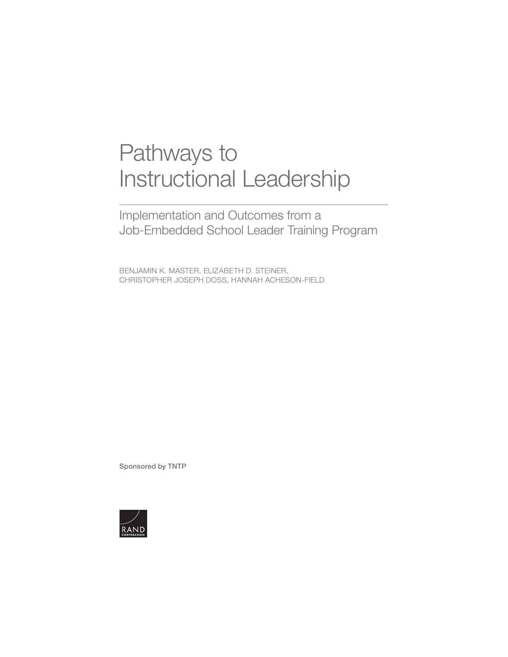# Pathways to [Instructional Leadership](https://www.rand.org/pubs/research_reports/RRA255-1.html)

Implementation and Outcomes from a Job-Embedded School Leader Training Program

BENJAMIN K. MASTER, ELIZABETH D. STEINER, CHRISTOPHER JOSEPH DOSS, HANNAH ACHESON-FIELD

Sponsored by TNTP

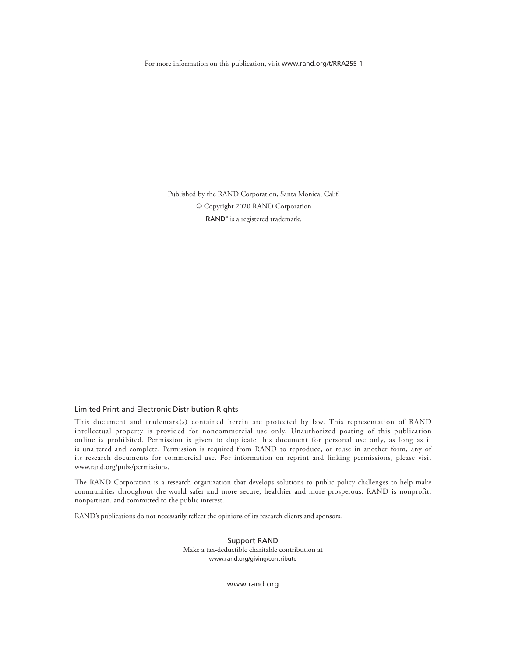For more information on this publication, visit [www.rand.org/t/RRA255-1](http://www.rand.org/t/RRA255-1)

Published by the RAND Corporation, Santa Monica, Calif. © Copyright 2020 RAND Corporation RAND<sup>®</sup> is a registered trademark.

#### Limited Print and Electronic Distribution Rights

This document and trademark(s) contained herein are protected by law. This representation of RAND intellectual property is provided for noncommercial use only. Unauthorized posting of this publication online is prohibited. Permission is given to duplicate this document for personal use only, as long as it is unaltered and complete. Permission is required from RAND to reproduce, or reuse in another form, any of its research documents for commercial use. For information on reprint and linking permissions, please visit [www.rand.org/pubs/permissions.](http://www.rand.org/pubs/permissions)

The RAND Corporation is a research organization that develops solutions to public policy challenges to help make communities throughout the world safer and more secure, healthier and more prosperous. RAND is nonprofit, nonpartisan, and committed to the public interest.

RAND's publications do not necessarily reflect the opinions of its research clients and sponsors.

Support RAND Make a tax-deductible charitable contribution at [www.rand.org/giving/contribute](http://www.rand.org/giving/contribute)

[www.rand.org](http://www.rand.org)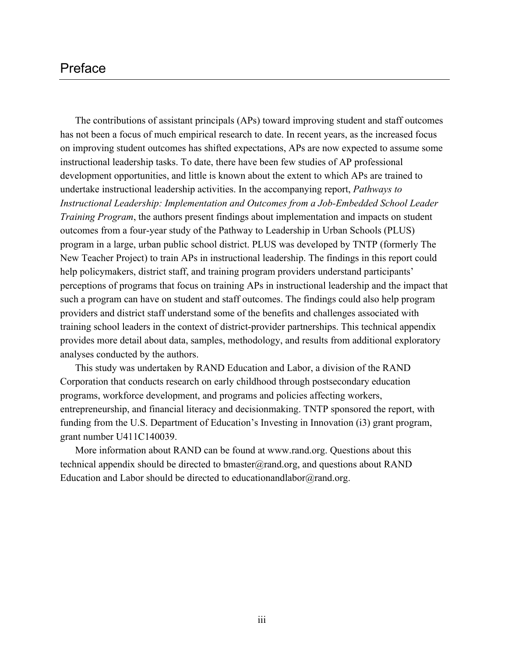## Preface

The contributions of assistant principals (APs) toward improving student and staff outcomes has not been a focus of much empirical research to date. In recent years, as the increased focus on improving student outcomes has shifted expectations, APs are now expected to assume some instructional leadership tasks. To date, there have been few studies of AP professional development opportunities, and little is known about the extent to which APs are trained to undertake instructional leadership activities. In the accompanying report, *Pathways to Instructional Leadership: Implementation and Outcomes from a Job-Embedded School Leader Training Program*, the authors present findings about implementation and impacts on student outcomes from a four-year study of the Pathway to Leadership in Urban Schools (PLUS) program in a large, urban public school district. PLUS was developed by TNTP (formerly The New Teacher Project) to train APs in instructional leadership. The findings in this report could help policymakers, district staff, and training program providers understand participants' perceptions of programs that focus on training APs in instructional leadership and the impact that such a program can have on student and staff outcomes. The findings could also help program providers and district staff understand some of the benefits and challenges associated with training school leaders in the context of district-provider partnerships. This technical appendix provides more detail about data, samples, methodology, and results from additional exploratory analyses conducted by the authors.

This study was undertaken by RAND Education and Labor, a division of the RAND Corporation that conducts research on early childhood through postsecondary education programs, workforce development, and programs and policies affecting workers, entrepreneurship, and financial literacy and decisionmaking. TNTP sponsored the report, with funding from the U.S. Department of Education's Investing in Innovation (i3) grant program, grant number U411C140039.

More information about RAND can be found at [www.rand.org.](http://www.rand.org) Questions about this technical appendix should be directed to bmaster $@$ rand.org, and questions about RAND Education and Labor should be directed to [educationandlabor@rand.org](mailto:educationandlabor@rand.org).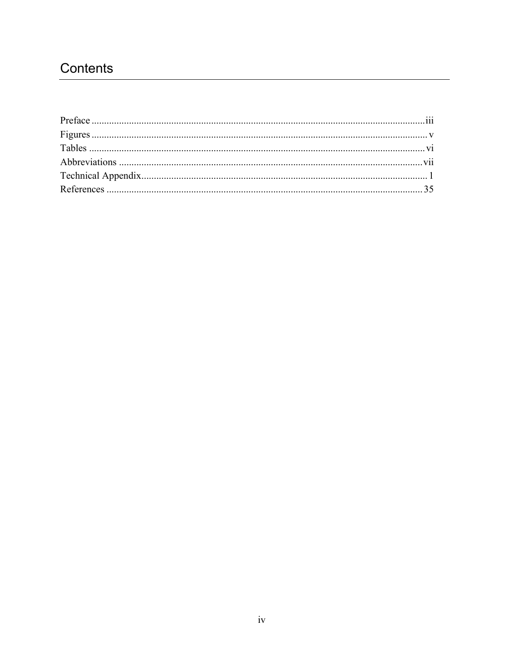## Contents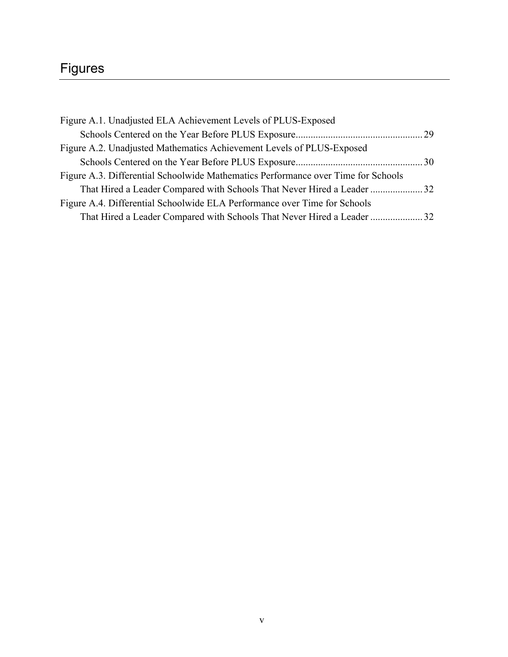## Figures

| Figure A.1. Unadjusted ELA Achievement Levels of PLUS-Exposed                     |  |
|-----------------------------------------------------------------------------------|--|
|                                                                                   |  |
| Figure A.2. Unadjusted Mathematics Achievement Levels of PLUS-Exposed             |  |
|                                                                                   |  |
| Figure A.3. Differential Schoolwide Mathematics Performance over Time for Schools |  |
| That Hired a Leader Compared with Schools That Never Hired a Leader 32            |  |
| Figure A.4. Differential Schoolwide ELA Performance over Time for Schools         |  |
| That Hired a Leader Compared with Schools That Never Hired a Leader  32           |  |
|                                                                                   |  |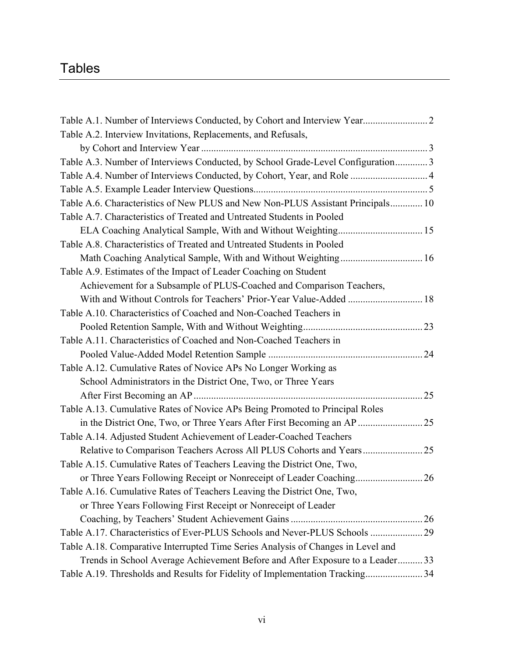## Tables

| Table A.1. Number of Interviews Conducted, by Cohort and Interview Year          |
|----------------------------------------------------------------------------------|
| Table A.2. Interview Invitations, Replacements, and Refusals,                    |
|                                                                                  |
| Table A.3. Number of Interviews Conducted, by School Grade-Level Configuration3  |
| Table A.4. Number of Interviews Conducted, by Cohort, Year, and Role  4          |
|                                                                                  |
| Table A.6. Characteristics of New PLUS and New Non-PLUS Assistant Principals 10  |
| Table A.7. Characteristics of Treated and Untreated Students in Pooled           |
|                                                                                  |
| Table A.8. Characteristics of Treated and Untreated Students in Pooled           |
|                                                                                  |
| Table A.9. Estimates of the Impact of Leader Coaching on Student                 |
| Achievement for a Subsample of PLUS-Coached and Comparison Teachers,             |
| With and Without Controls for Teachers' Prior-Year Value-Added  18               |
| Table A.10. Characteristics of Coached and Non-Coached Teachers in               |
|                                                                                  |
| Table A.11. Characteristics of Coached and Non-Coached Teachers in               |
|                                                                                  |
| Table A.12. Cumulative Rates of Novice APs No Longer Working as                  |
| School Administrators in the District One, Two, or Three Years                   |
|                                                                                  |
| Table A.13. Cumulative Rates of Novice APs Being Promoted to Principal Roles     |
|                                                                                  |
| Table A.14. Adjusted Student Achievement of Leader-Coached Teachers              |
|                                                                                  |
| Table A.15. Cumulative Rates of Teachers Leaving the District One, Two,          |
|                                                                                  |
| Table A.16. Cumulative Rates of Teachers Leaving the District One, Two,          |
| or Three Years Following First Receipt or Nonreceipt of Leader                   |
|                                                                                  |
| Table A.17. Characteristics of Ever-PLUS Schools and Never-PLUS Schools  29      |
| Table A.18. Comparative Interrupted Time Series Analysis of Changes in Level and |
| Trends in School Average Achievement Before and After Exposure to a Leader 33    |
| Table A.19. Thresholds and Results for Fidelity of Implementation Tracking34     |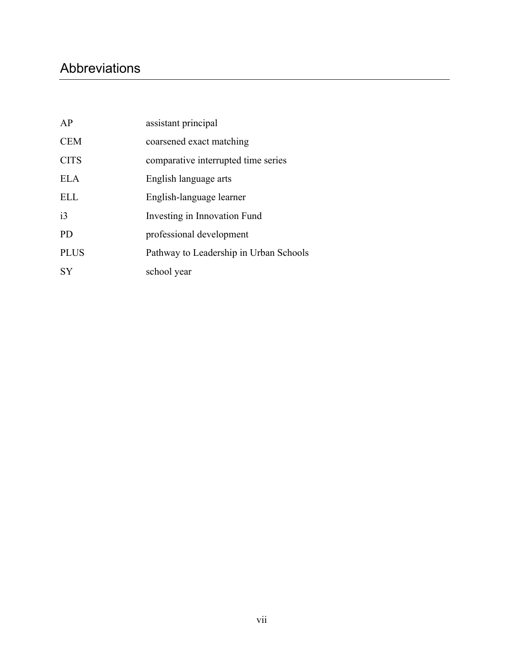## Abbreviations

| AP          | assistant principal                    |
|-------------|----------------------------------------|
| <b>CEM</b>  | coarsened exact matching               |
| <b>CITS</b> | comparative interrupted time series    |
| <b>ELA</b>  | English language arts                  |
| <b>ELL</b>  | English-language learner               |
| i3          | Investing in Innovation Fund           |
| <b>PD</b>   | professional development               |
| <b>PLUS</b> | Pathway to Leadership in Urban Schools |
| <b>SY</b>   | school year                            |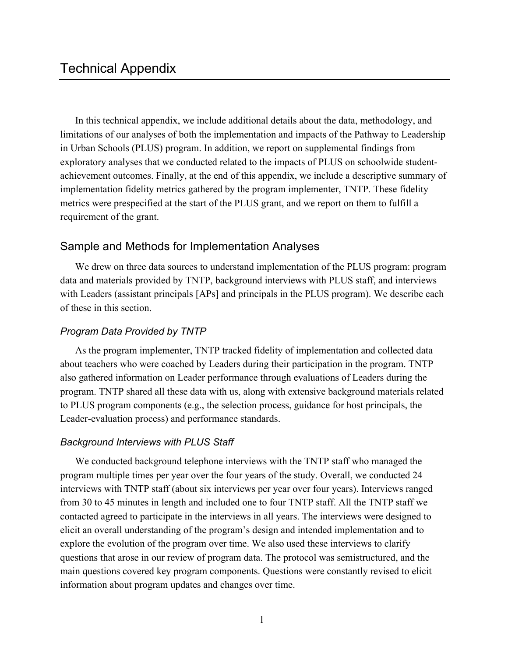In this technical appendix, we include additional details about the data, methodology, and limitations of our analyses of both the implementation and impacts of the Pathway to Leadership in Urban Schools (PLUS) program. In addition, we report on supplemental findings from exploratory analyses that we conducted related to the impacts of PLUS on schoolwide studentachievement outcomes. Finally, at the end of this appendix, we include a descriptive summary of implementation fidelity metrics gathered by the program implementer, TNTP. These fidelity metrics were prespecified at the start of the PLUS grant, and we report on them to fulfill a requirement of the grant.

## Sample and Methods for Implementation Analyses

We drew on three data sources to understand implementation of the PLUS program: program data and materials provided by TNTP, background interviews with PLUS staff, and interviews with Leaders (assistant principals [APs] and principals in the PLUS program). We describe each of these in this section.

## *Program Data Provided by TNTP*

As the program implementer, TNTP tracked fidelity of implementation and collected data about teachers who were coached by Leaders during their participation in the program. TNTP also gathered information on Leader performance through evaluations of Leaders during the program. TNTP shared all these data with us, along with extensive background materials related to PLUS program components (e.g., the selection process, guidance for host principals, the Leader-evaluation process) and performance standards.

## *Background Interviews with PLUS Staff*

We conducted background telephone interviews with the TNTP staff who managed the program multiple times per year over the four years of the study. Overall, we conducted 24 interviews with TNTP staff (about six interviews per year over four years). Interviews ranged from 30 to 45 minutes in length and included one to four TNTP staff. All the TNTP staff we contacted agreed to participate in the interviews in all years. The interviews were designed to elicit an overall understanding of the program's design and intended implementation and to explore the evolution of the program over time. We also used these interviews to clarify questions that arose in our review of program data. The protocol was semistructured, and the main questions covered key program components. Questions were constantly revised to elicit information about program updates and changes over time.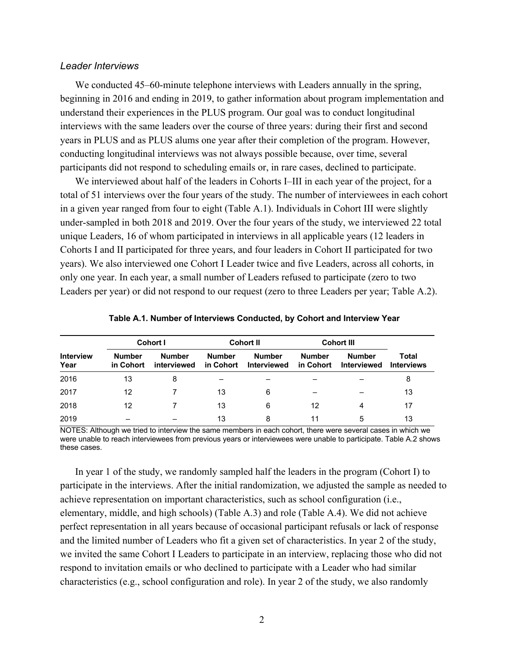#### *Leader Interviews*

We conducted 45–60-minute telephone interviews with Leaders annually in the spring, beginning in 2016 and ending in 2019, to gather information about program implementation and understand their experiences in the PLUS program. Our goal was to conduct longitudinal interviews with the same leaders over the course of three years: during their first and second years in PLUS and as PLUS alums one year after their completion of the program. However, conducting longitudinal interviews was not always possible because, over time, several participants did not respond to scheduling emails or, in rare cases, declined to participate.

We interviewed about half of the leaders in Cohorts I–III in each year of the project, for a total of 51 interviews over the four years of the study. The number of interviewees in each cohort in a given year ranged from four to eight (Table A.1). Individuals in Cohort III were slightly under-sampled in both 2018 and 2019. Over the four years of the study, we interviewed 22 total unique Leaders, 16 of whom participated in interviews in all applicable years (12 leaders in Cohorts I and II participated for three years, and four leaders in Cohort II participated for two years). We also interviewed one Cohort I Leader twice and five Leaders, across all cohorts, in only one year. In each year, a small number of Leaders refused to participate (zero to two Leaders per year) or did not respond to our request (zero to three Leaders per year; Table A.2).

| Cohort I                 |                            |                              | <b>Cohort II</b>           | <b>Cohort III</b>                   |                            |                                     |                            |
|--------------------------|----------------------------|------------------------------|----------------------------|-------------------------------------|----------------------------|-------------------------------------|----------------------------|
| <b>Interview</b><br>Year | <b>Number</b><br>in Cohort | <b>Number</b><br>interviewed | <b>Number</b><br>in Cohort | <b>Number</b><br><b>Interviewed</b> | <b>Number</b><br>in Cohort | <b>Number</b><br><b>Interviewed</b> | Total<br><b>Interviews</b> |
| 2016                     | 13                         | 8                            |                            |                                     |                            |                                     | 8                          |
| 2017                     | 12                         |                              | 13                         | 6                                   |                            |                                     | 13                         |
| 2018                     | 12                         |                              | 13                         | 6                                   | 12                         | 4                                   | 17                         |
| 2019                     |                            |                              | 13                         | 8                                   | 11                         | 5                                   | 13                         |

NOTES: Although we tried to interview the same members in each cohort, there were several cases in which we were unable to reach interviewees from previous years or interviewees were unable to participate. Table A.2 shows these cases.

In year 1 of the study, we randomly sampled half the leaders in the program (Cohort I) to participate in the interviews. After the initial randomization, we adjusted the sample as needed to achieve representation on important characteristics, such as school configuration (i.e., elementary, middle, and high schools) (Table A.3) and role (Table A.4). We did not achieve perfect representation in all years because of occasional participant refusals or lack of response and the limited number of Leaders who fit a given set of characteristics. In year 2 of the study, we invited the same Cohort I Leaders to participate in an interview, replacing those who did not respond to invitation emails or who declined to participate with a Leader who had similar characteristics (e.g., school configuration and role). In year 2 of the study, we also randomly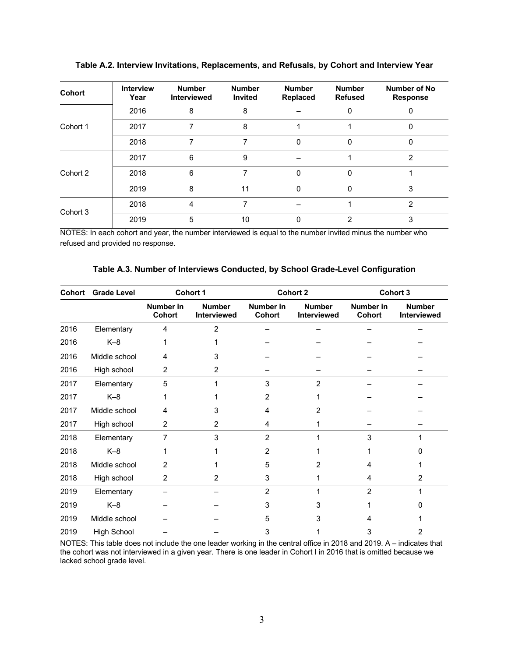| <b>Cohort</b> | <b>Interview</b><br>Year | <b>Number</b><br><b>Interviewed</b> | <b>Number</b><br>Invited | <b>Number</b><br>Replaced | <b>Number</b><br><b>Refused</b> | Number of No<br><b>Response</b> |
|---------------|--------------------------|-------------------------------------|--------------------------|---------------------------|---------------------------------|---------------------------------|
|               | 2016                     | 8                                   | 8                        |                           | 0                               |                                 |
| Cohort 1      | 2017                     |                                     | 8                        |                           |                                 | 0                               |
|               | 2018                     |                                     |                          | $\Omega$                  | $\Omega$                        | 0                               |
|               | 2017                     | 6                                   | 9                        |                           |                                 | 2                               |
| Cohort 2      | 2018                     | 6                                   | 7                        | $\Omega$                  | $\Omega$                        |                                 |
|               | 2019                     | 8                                   | 11                       | $\Omega$                  | $\Omega$                        | 3                               |
|               | 2018                     | 4                                   | 7                        |                           |                                 | 2                               |
| Cohort 3      | 2019                     | 5                                   | 10                       |                           | 2                               | 3                               |

**Table A.2. Interview Invitations, Replacements, and Refusals, by Cohort and Interview Year**

NOTES: In each cohort and year, the number interviewed is equal to the number invited minus the number who refused and provided no response.

| Cohort | <b>Grade Level</b> | Cohort 1                   |                              |                     | <b>Cohort 2</b>              | <b>Cohort 3</b>     |                              |  |
|--------|--------------------|----------------------------|------------------------------|---------------------|------------------------------|---------------------|------------------------------|--|
|        |                    | Number in<br><b>Cohort</b> | <b>Number</b><br>Interviewed | Number in<br>Cohort | <b>Number</b><br>Interviewed | Number in<br>Cohort | <b>Number</b><br>Interviewed |  |
| 2016   | Elementary         | 4                          | $\overline{2}$               |                     |                              |                     |                              |  |
| 2016   | $K-8$              |                            |                              |                     |                              |                     |                              |  |
| 2016   | Middle school      | 4                          | 3                            |                     |                              |                     |                              |  |
| 2016   | High school        | $\overline{2}$             | $\overline{2}$               |                     |                              |                     |                              |  |
| 2017   | Elementary         | 5                          |                              | 3                   | $\overline{2}$               |                     |                              |  |
| 2017   | $K-8$              |                            |                              | $\overline{2}$      |                              |                     |                              |  |
| 2017   | Middle school      | 4                          | 3                            | 4                   | 2                            |                     |                              |  |
| 2017   | High school        | $\overline{2}$             | $\overline{2}$               | 4                   |                              |                     |                              |  |
| 2018   | Elementary         | 7                          | 3                            | $\overline{2}$      |                              | 3                   |                              |  |
| 2018   | $K-8$              |                            |                              | 2                   |                              |                     | O                            |  |
| 2018   | Middle school      | 2                          |                              | 5                   | 2                            | 4                   |                              |  |
| 2018   | High school        | 2                          | 2                            | 3                   |                              | 4                   | 2                            |  |
| 2019   | Elementary         |                            |                              | 2                   |                              | $\overline{2}$      |                              |  |
| 2019   | $K-8$              |                            |                              | 3                   |                              |                     |                              |  |
| 2019   | Middle school      |                            |                              | 5                   |                              | 4                   |                              |  |
| 2019   | <b>High School</b> |                            |                              | 3                   |                              |                     | 2                            |  |

**Table A.3. Number of Interviews Conducted, by School Grade-Level Configuration**

NOTES: This table does not include the one leader working in the central office in 2018 and 2019. A – indicates that the cohort was not interviewed in a given year. There is one leader in Cohort I in 2016 that is omitted because we lacked school grade level.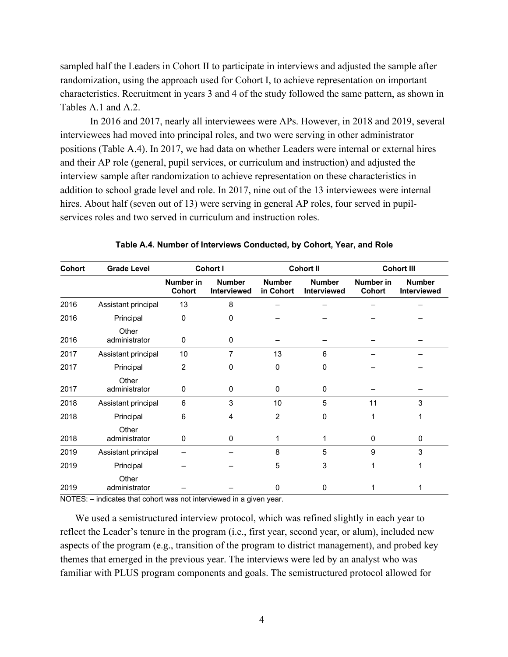sampled half the Leaders in Cohort II to participate in interviews and adjusted the sample after randomization, using the approach used for Cohort I, to achieve representation on important characteristics. Recruitment in years 3 and 4 of the study followed the same pattern, as shown in Tables A.1 and A.2.

In 2016 and 2017, nearly all interviewees were APs. However, in 2018 and 2019, several interviewees had moved into principal roles, and two were serving in other administrator positions (Table A.4). In 2017, we had data on whether Leaders were internal or external hires and their AP role (general, pupil services, or curriculum and instruction) and adjusted the interview sample after randomization to achieve representation on these characteristics in addition to school grade level and role. In 2017, nine out of the 13 interviewees were internal hires. About half (seven out of 13) were serving in general AP roles, four served in pupilservices roles and two served in curriculum and instruction roles.

| Cohort | <b>Grade Level</b>     | Cohort I                   |                                     |                            | <b>Cohort II</b>                    | <b>Cohort III</b>          |                              |
|--------|------------------------|----------------------------|-------------------------------------|----------------------------|-------------------------------------|----------------------------|------------------------------|
|        |                        | <b>Number in</b><br>Cohort | <b>Number</b><br><b>Interviewed</b> | <b>Number</b><br>in Cohort | <b>Number</b><br><b>Interviewed</b> | Number in<br><b>Cohort</b> | <b>Number</b><br>Interviewed |
| 2016   | Assistant principal    | 13                         | 8                                   |                            |                                     |                            |                              |
| 2016   | Principal              | $\mathbf 0$                | 0                                   |                            |                                     |                            |                              |
| 2016   | Other<br>administrator | 0                          | 0                                   |                            |                                     |                            |                              |
| 2017   | Assistant principal    | 10                         | 7                                   | 13                         | 6                                   |                            |                              |
| 2017   | Principal              | $\overline{c}$             | 0                                   | $\mathbf 0$                | 0                                   |                            |                              |
| 2017   | Other<br>administrator | 0                          | $\Omega$                            | $\Omega$                   | 0                                   |                            |                              |
| 2018   | Assistant principal    | 6                          | 3                                   | 10                         | 5                                   | 11                         | 3                            |
| 2018   | Principal              | 6                          | 4                                   | $\overline{2}$             | 0                                   | 1                          |                              |
| 2018   | Other<br>administrator | 0                          | 0                                   | 1                          | 1                                   | 0                          | 0                            |
| 2019   | Assistant principal    |                            |                                     | 8                          | 5                                   | 9                          | 3                            |
| 2019   | Principal              |                            |                                     | 5                          | 3                                   | 1                          |                              |
| 2019   | Other<br>administrator |                            |                                     | 0                          | $\Omega$                            |                            |                              |

**Table A.4. Number of Interviews Conducted, by Cohort, Year, and Role**

NOTES: – indicates that cohort was not interviewed in a given year.

We used a semistructured interview protocol, which was refined slightly in each year to reflect the Leader's tenure in the program (i.e., first year, second year, or alum), included new aspects of the program (e.g., transition of the program to district management), and probed key themes that emerged in the previous year. The interviews were led by an analyst who was familiar with PLUS program components and goals. The semistructured protocol allowed for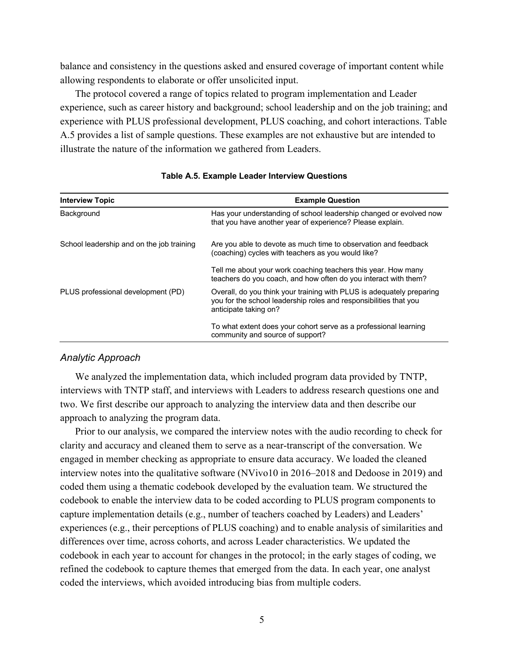balance and consistency in the questions asked and ensured coverage of important content while allowing respondents to elaborate or offer unsolicited input.

The protocol covered a range of topics related to program implementation and Leader experience, such as career history and background; school leadership and on the job training; and experience with PLUS professional development, PLUS coaching, and cohort interactions. Table A.5 provides a list of sample questions. These examples are not exhaustive but are intended to illustrate the nature of the information we gathered from Leaders.

| <b>Interview Topic</b>                    | <b>Example Question</b>                                                                                                                                             |
|-------------------------------------------|---------------------------------------------------------------------------------------------------------------------------------------------------------------------|
| Background                                | Has your understanding of school leadership changed or evolved now<br>that you have another year of experience? Please explain.                                     |
| School leadership and on the job training | Are you able to devote as much time to observation and feedback<br>(coaching) cycles with teachers as you would like?                                               |
|                                           | Tell me about your work coaching teachers this year. How many<br>teachers do you coach, and how often do you interact with them?                                    |
| PLUS professional development (PD)        | Overall, do you think your training with PLUS is adequately preparing<br>you for the school leadership roles and responsibilities that you<br>anticipate taking on? |
|                                           | To what extent does your cohort serve as a professional learning<br>community and source of support?                                                                |

**Table A.5. Example Leader Interview Questions**

## *Analytic Approach*

We analyzed the implementation data, which included program data provided by TNTP, interviews with TNTP staff, and interviews with Leaders to address research questions one and two. We first describe our approach to analyzing the interview data and then describe our approach to analyzing the program data.

Prior to our analysis, we compared the interview notes with the audio recording to check for clarity and accuracy and cleaned them to serve as a near-transcript of the conversation. We engaged in member checking as appropriate to ensure data accuracy. We loaded the cleaned interview notes into the qualitative software (NVivo10 in 2016–2018 and Dedoose in 2019) and coded them using a thematic codebook developed by the evaluation team. We structured the codebook to enable the interview data to be coded according to PLUS program components to capture implementation details (e.g., number of teachers coached by Leaders) and Leaders' experiences (e.g., their perceptions of PLUS coaching) and to enable analysis of similarities and differences over time, across cohorts, and across Leader characteristics. We updated the codebook in each year to account for changes in the protocol; in the early stages of coding, we refined the codebook to capture themes that emerged from the data. In each year, one analyst coded the interviews, which avoided introducing bias from multiple coders.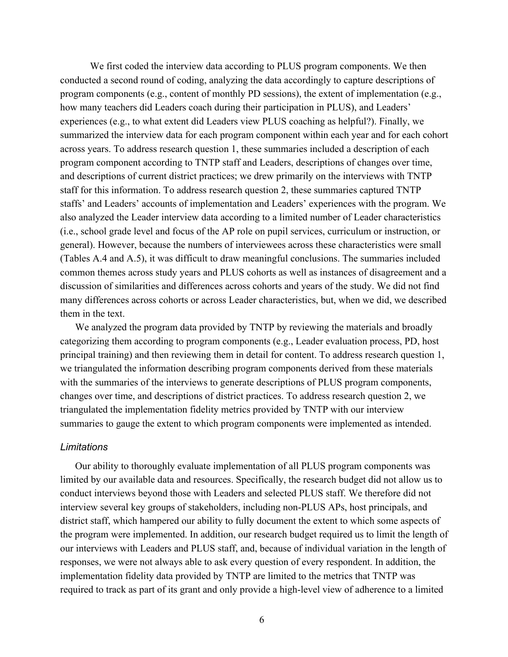We first coded the interview data according to PLUS program components. We then conducted a second round of coding, analyzing the data accordingly to capture descriptions of program components (e.g., content of monthly PD sessions), the extent of implementation (e.g., how many teachers did Leaders coach during their participation in PLUS), and Leaders' experiences (e.g., to what extent did Leaders view PLUS coaching as helpful?). Finally, we summarized the interview data for each program component within each year and for each cohort across years. To address research question 1, these summaries included a description of each program component according to TNTP staff and Leaders, descriptions of changes over time, and descriptions of current district practices; we drew primarily on the interviews with TNTP staff for this information. To address research question 2, these summaries captured TNTP staffs' and Leaders' accounts of implementation and Leaders' experiences with the program. We also analyzed the Leader interview data according to a limited number of Leader characteristics (i.e., school grade level and focus of the AP role on pupil services, curriculum or instruction, or general). However, because the numbers of interviewees across these characteristics were small (Tables A.4 and A.5), it was difficult to draw meaningful conclusions. The summaries included common themes across study years and PLUS cohorts as well as instances of disagreement and a discussion of similarities and differences across cohorts and years of the study. We did not find many differences across cohorts or across Leader characteristics, but, when we did, we described them in the text.

We analyzed the program data provided by TNTP by reviewing the materials and broadly categorizing them according to program components (e.g., Leader evaluation process, PD, host principal training) and then reviewing them in detail for content. To address research question 1, we triangulated the information describing program components derived from these materials with the summaries of the interviews to generate descriptions of PLUS program components, changes over time, and descriptions of district practices. To address research question 2, we triangulated the implementation fidelity metrics provided by TNTP with our interview summaries to gauge the extent to which program components were implemented as intended.

#### *Limitations*

Our ability to thoroughly evaluate implementation of all PLUS program components was limited by our available data and resources. Specifically, the research budget did not allow us to conduct interviews beyond those with Leaders and selected PLUS staff. We therefore did not interview several key groups of stakeholders, including non-PLUS APs, host principals, and district staff, which hampered our ability to fully document the extent to which some aspects of the program were implemented. In addition, our research budget required us to limit the length of our interviews with Leaders and PLUS staff, and, because of individual variation in the length of responses, we were not always able to ask every question of every respondent. In addition, the implementation fidelity data provided by TNTP are limited to the metrics that TNTP was required to track as part of its grant and only provide a high-level view of adherence to a limited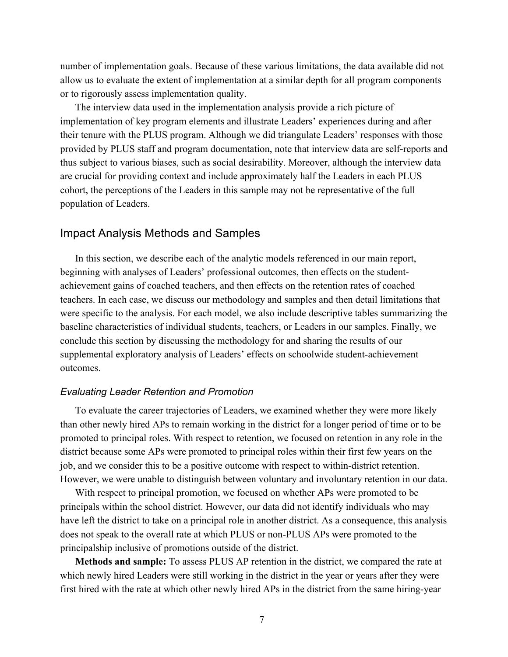number of implementation goals. Because of these various limitations, the data available did not allow us to evaluate the extent of implementation at a similar depth for all program components or to rigorously assess implementation quality.

The interview data used in the implementation analysis provide a rich picture of implementation of key program elements and illustrate Leaders' experiences during and after their tenure with the PLUS program. Although we did triangulate Leaders' responses with those provided by PLUS staff and program documentation, note that interview data are self-reports and thus subject to various biases, such as social desirability. Moreover, although the interview data are crucial for providing context and include approximately half the Leaders in each PLUS cohort, the perceptions of the Leaders in this sample may not be representative of the full population of Leaders.

## Impact Analysis Methods and Samples

In this section, we describe each of the analytic models referenced in our main report, beginning with analyses of Leaders' professional outcomes, then effects on the studentachievement gains of coached teachers, and then effects on the retention rates of coached teachers. In each case, we discuss our methodology and samples and then detail limitations that were specific to the analysis. For each model, we also include descriptive tables summarizing the baseline characteristics of individual students, teachers, or Leaders in our samples. Finally, we conclude this section by discussing the methodology for and sharing the results of our supplemental exploratory analysis of Leaders' effects on schoolwide student-achievement outcomes.

#### *Evaluating Leader Retention and Promotion*

To evaluate the career trajectories of Leaders, we examined whether they were more likely than other newly hired APs to remain working in the district for a longer period of time or to be promoted to principal roles. With respect to retention, we focused on retention in any role in the district because some APs were promoted to principal roles within their first few years on the job, and we consider this to be a positive outcome with respect to within-district retention. However, we were unable to distinguish between voluntary and involuntary retention in our data.

With respect to principal promotion, we focused on whether APs were promoted to be principals within the school district. However, our data did not identify individuals who may have left the district to take on a principal role in another district. As a consequence, this analysis does not speak to the overall rate at which PLUS or non-PLUS APs were promoted to the principalship inclusive of promotions outside of the district.

**Methods and sample:** To assess PLUS AP retention in the district, we compared the rate at which newly hired Leaders were still working in the district in the year or years after they were first hired with the rate at which other newly hired APs in the district from the same hiring-year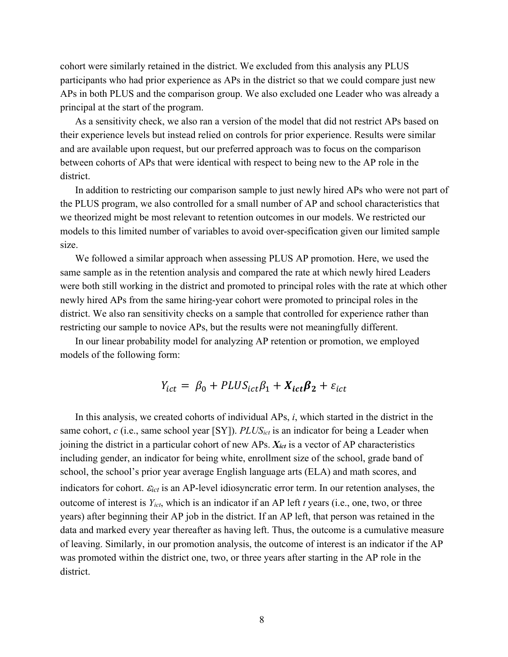cohort were similarly retained in the district. We excluded from this analysis any PLUS participants who had prior experience as APs in the district so that we could compare just new APs in both PLUS and the comparison group. We also excluded one Leader who was already a principal at the start of the program.

As a sensitivity check, we also ran a version of the model that did not restrict APs based on their experience levels but instead relied on controls for prior experience. Results were similar and are available upon request, but our preferred approach was to focus on the comparison between cohorts of APs that were identical with respect to being new to the AP role in the district.

In addition to restricting our comparison sample to just newly hired APs who were not part of the PLUS program, we also controlled for a small number of AP and school characteristics that we theorized might be most relevant to retention outcomes in our models. We restricted our models to this limited number of variables to avoid over-specification given our limited sample size.

We followed a similar approach when assessing PLUS AP promotion. Here, we used the same sample as in the retention analysis and compared the rate at which newly hired Leaders were both still working in the district and promoted to principal roles with the rate at which other newly hired APs from the same hiring-year cohort were promoted to principal roles in the district. We also ran sensitivity checks on a sample that controlled for experience rather than restricting our sample to novice APs, but the results were not meaningfully different.

In our linear probability model for analyzing AP retention or promotion, we employed models of the following form:

$$
Y_{ict} = \beta_0 + P L U S_{ict} \beta_1 + X_{ict} \beta_2 + \varepsilon_{ict}
$$

In this analysis, we created cohorts of individual APs, *i*, which started in the district in the same cohort, *c* (i.e., same school year [SY]). *PLUSict* is an indicator for being a Leader when joining the district in a particular cohort of new APs. *Xict* is a vector of AP characteristics including gender, an indicator for being white, enrollment size of the school, grade band of school, the school's prior year average English language arts (ELA) and math scores, and indicators for cohort.  $\mathcal{E}_{ict}$  is an AP-level idiosyncratic error term. In our retention analyses, the outcome of interest is *Yict*, which is an indicator if an AP left *t* years (i.e., one, two, or three years) after beginning their AP job in the district. If an AP left, that person was retained in the data and marked every year thereafter as having left. Thus, the outcome is a cumulative measure of leaving. Similarly, in our promotion analysis, the outcome of interest is an indicator if the AP was promoted within the district one, two, or three years after starting in the AP role in the district.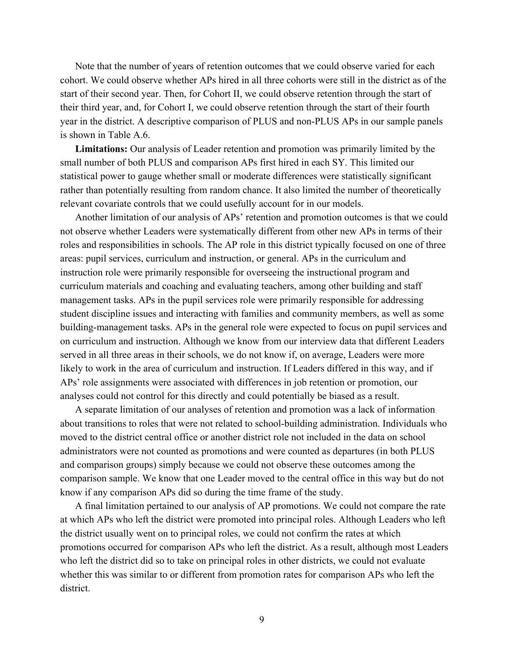Note that the number of years of retention outcomes that we could observe varied for each cohort. We could observe whether APs hired in all three cohorts were still in the district as of the start of their second year. Then, for Cohort II, we could observe retention through the start of their third year, and, for Cohort I, we could observe retention through the start of their fourth year in the district. A descriptive comparison of PLUS and non-PLUS APs in our sample panels is shown in Table A.6.

**Limitations:** Our analysis of Leader retention and promotion was primarily limited by the small number of both PLUS and comparison APs first hired in each SY. This limited our statistical power to gauge whether small or moderate differences were statistically significant rather than potentially resulting from random chance. It also limited the number of theoretically relevant covariate controls that we could usefully account for in our models.

Another limitation of our analysis of APs' retention and promotion outcomes is that we could not observe whether Leaders were systematically different from other new APs in terms of their roles and responsibilities in schools. The AP role in this district typically focused on one of three areas: pupil services, curriculum and instruction, or general. APs in the curriculum and instruction role were primarily responsible for overseeing the instructional program and curriculum materials and coaching and evaluating teachers, among other building and staff management tasks. APs in the pupil services role were primarily responsible for addressing student discipline issues and interacting with families and community members, as well as some building-management tasks. APs in the general role were expected to focus on pupil services and on curriculum and instruction. Although we know from our interview data that different Leaders served in all three areas in their schools, we do not know if, on average, Leaders were more likely to work in the area of curriculum and instruction. If Leaders differed in this way, and if APs' role assignments were associated with differences in job retention or promotion, our analyses could not control for this directly and could potentially be biased as a result.

A separate limitation of our analyses of retention and promotion was a lack of information about transitions to roles that were not related to school-building administration. Individuals who moved to the district central office or another district role not included in the data on school administrators were not counted as promotions and were counted as departures (in both PLUS and comparison groups) simply because we could not observe these outcomes among the comparison sample. We know that one Leader moved to the central office in this way but do not know if any comparison APs did so during the time frame of the study.

A final limitation pertained to our analysis of AP promotions. We could not compare the rate at which APs who left the district were promoted into principal roles. Although Leaders who left the district usually went on to principal roles, we could not confirm the rates at which promotions occurred for comparison APs who left the district. As a result, although most Leaders who left the district did so to take on principal roles in other districts, we could not evaluate whether this was similar to or different from promotion rates for comparison APs who left the district.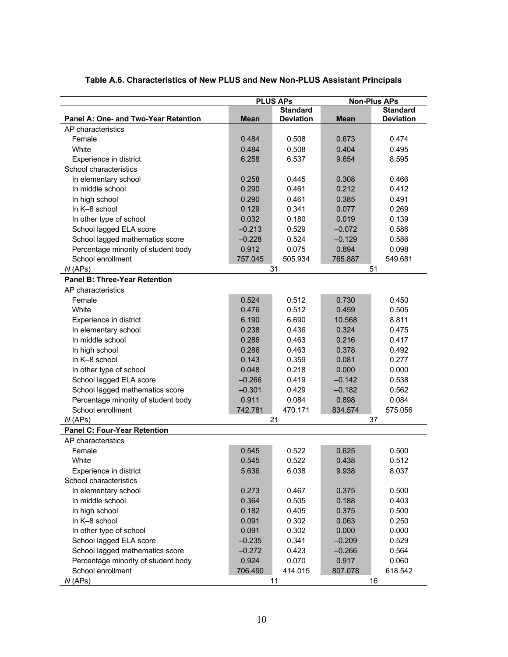| <b>PLUS APS</b>                                                                        | <b>Non-Plus APs</b> |  |  |
|----------------------------------------------------------------------------------------|---------------------|--|--|
| <b>Standard</b>                                                                        | <b>Standard</b>     |  |  |
| <b>Deviation</b><br>Panel A: One- and Two-Year Retention<br><b>Mean</b><br><b>Mean</b> | <b>Deviation</b>    |  |  |
| AP characteristics                                                                     |                     |  |  |
| Female<br>0.484<br>0.508<br>0.673                                                      | 0.474               |  |  |
| White<br>0.508<br>0.404<br>0.484                                                       | 0.495               |  |  |
| 6.258<br>6.537<br>9.654<br>Experience in district                                      | 8.595               |  |  |
| School characteristics                                                                 |                     |  |  |
| In elementary school<br>0.258<br>0.445<br>0.308                                        | 0.466               |  |  |
| In middle school<br>0.461<br>0.212<br>0.290                                            | 0.412               |  |  |
| 0.290<br>0.461<br>0.385<br>In high school                                              | 0.491               |  |  |
| 0.129<br>0.341<br>0.077<br>In K-8 school                                               | 0.269               |  |  |
| 0.032<br>0.180<br>0.019<br>In other type of school                                     | 0.139               |  |  |
| School lagged ELA score<br>$-0.213$<br>0.529<br>$-0.072$                               | 0.586               |  |  |
| School lagged mathematics score<br>$-0.228$<br>0.524<br>$-0.129$                       | 0.586               |  |  |
| Percentage minority of student body<br>0.912<br>0.075<br>0.894                         | 0.098               |  |  |
| School enrollment<br>757.045<br>505.934<br>765.887                                     | 549.681             |  |  |
| 51<br>N(APs)<br>31                                                                     |                     |  |  |
| <b>Panel B: Three-Year Retention</b>                                                   |                     |  |  |
| AP characteristics                                                                     |                     |  |  |
| Female<br>0.524<br>0.512<br>0.730                                                      | 0.450               |  |  |
| White<br>0.476<br>0.512<br>0.459                                                       | 0.505               |  |  |
| 6.690<br>6.190<br>10.568<br>Experience in district                                     | 8.811               |  |  |
| 0.324<br>In elementary school<br>0.238<br>0.436                                        | 0.475               |  |  |
| In middle school<br>0.463<br>0.216<br>0.286                                            | 0.417               |  |  |
| 0.463<br>0.378<br>In high school<br>0.286                                              | 0.492               |  |  |
| In K-8 school<br>0.359<br>0.081<br>0.143                                               | 0.277               |  |  |
| 0.218<br>0.000<br>In other type of school<br>0.048                                     | 0.000               |  |  |
| School lagged ELA score<br>$-0.142$<br>$-0.266$<br>0.419                               | 0.538               |  |  |
| School lagged mathematics score<br>$-0.301$<br>0.429<br>$-0.182$                       | 0.562               |  |  |
| 0.911<br>0.898<br>Percentage minority of student body<br>0.084                         | 0.084               |  |  |
| School enrollment<br>742.781<br>470.171<br>834.574                                     | 575.056             |  |  |
| N(APs)<br>21<br>37                                                                     |                     |  |  |
| <b>Panel C: Four-Year Retention</b>                                                    |                     |  |  |
| AP characteristics                                                                     |                     |  |  |
| Female<br>0.545<br>0.522<br>0.625                                                      | 0.500               |  |  |
| 0.438<br>White<br>0.545<br>0.522                                                       | 0.512               |  |  |
| 5.636<br>9.938<br>Experience in district<br>6.038                                      | 8.037               |  |  |
| School characteristics                                                                 |                     |  |  |
| 0.273<br>0.467<br>0.375<br>In elementary school                                        | 0.500               |  |  |
| 0.188<br>In middle school<br>0.364<br>0.505                                            | 0.403               |  |  |
| 0.375<br>In high school<br>0.182<br>0.405                                              | 0.500               |  |  |
| In K-8 school<br>0.091<br>0.302<br>0.063                                               | 0.250               |  |  |
| In other type of school<br>0.091<br>0.302<br>0.000                                     | 0.000               |  |  |
| School lagged ELA score<br>$-0.235$<br>0.341<br>$-0.209$                               | 0.529               |  |  |
| $-0.272$<br>0.423<br>School lagged mathematics score<br>$-0.266$                       | 0.564               |  |  |
| Percentage minority of student body<br>0.924<br>0.070<br>0.917                         | 0.060               |  |  |
| School enrollment<br>706.490<br>414.015<br>807.078                                     | 618.542             |  |  |
| N(APs)<br>11<br>16                                                                     |                     |  |  |

## **Table A.6. Characteristics of New PLUS and New Non-PLUS Assistant Principals**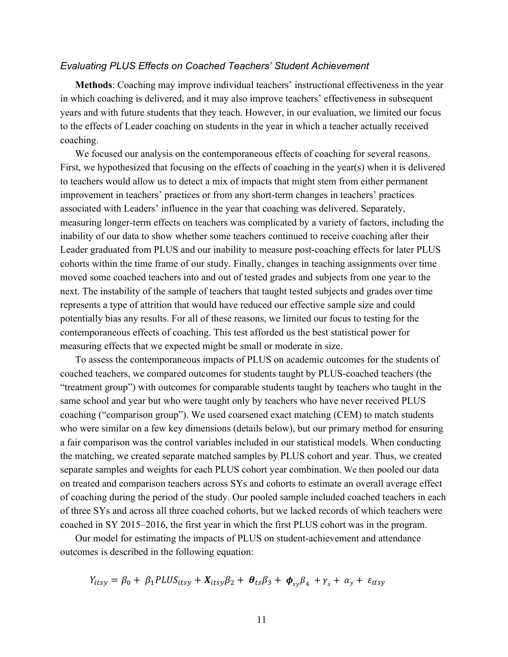#### *Evaluating PLUS Effects on Coached Teachers' Student Achievement*

**Methods**: Coaching may improve individual teachers' instructional effectiveness in the year in which coaching is delivered, and it may also improve teachers' effectiveness in subsequent years and with future students that they teach. However, in our evaluation, we limited our focus to the effects of Leader coaching on students in the year in which a teacher actually received coaching.

We focused our analysis on the contemporaneous effects of coaching for several reasons. First, we hypothesized that focusing on the effects of coaching in the year(s) when it is delivered to teachers would allow us to detect a mix of impacts that might stem from either permanent improvement in teachers' practices or from any short-term changes in teachers' practices associated with Leaders' influence in the year that coaching was delivered. Separately, measuring longer-term effects on teachers was complicated by a variety of factors, including the inability of our data to show whether some teachers continued to receive coaching after their Leader graduated from PLUS and our inability to measure post-coaching effects for later PLUS cohorts within the time frame of our study. Finally, changes in teaching assignments over time moved some coached teachers into and out of tested grades and subjects from one year to the next. The instability of the sample of teachers that taught tested subjects and grades over time represents a type of attrition that would have reduced our effective sample size and could potentially bias any results. For all of these reasons, we limited our focus to testing for the contemporaneous effects of coaching. This test afforded us the best statistical power for measuring effects that we expected might be small or moderate in size.

To assess the contemporaneous impacts of PLUS on academic outcomes for the students of coached teachers, we compared outcomes for students taught by PLUS-coached teachers (the "treatment group") with outcomes for comparable students taught by teachers who taught in the same school and year but who were taught only by teachers who have never received PLUS coaching ("comparison group"). We used coarsened exact matching (CEM) to match students who were similar on a few key dimensions (details below), but our primary method for ensuring a fair comparison was the control variables included in our statistical models. When conducting the matching, we created separate matched samples by PLUS cohort and year. Thus, we created separate samples and weights for each PLUS cohort year combination. We then pooled our data on treated and comparison teachers across SYs and cohorts to estimate an overall average effect of coaching during the period of the study. Our pooled sample included coached teachers in each of three SYs and across all three coached cohorts, but we lacked records of which teachers were coached in SY 2015–2016, the first year in which the first PLUS cohort was in the program.

Our model for estimating the impacts of PLUS on student-achievement and attendance outcomes is described in the following equation:

$$
Y_{itsy} = \beta_0 + \beta_1 P L U S_{itsy} + X_{itsy} \beta_2 + \theta_{ts} \beta_3 + \phi_{sy} \beta_4 + \gamma_s + \alpha_y + \varepsilon_{itsy}
$$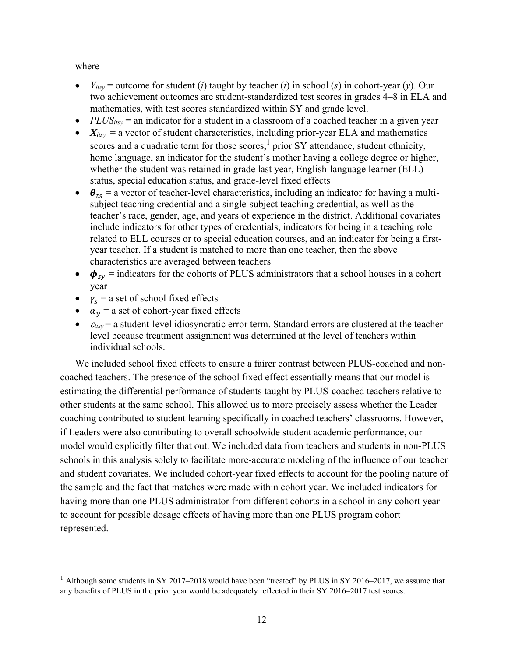where

- $Y_{itsy}$  = outcome for student (*i*) taught by teacher (*t*) in school (*s*) in cohort-year (*y*). Our two achievement outcomes are student-standardized test scores in grades 4–8 in ELA and mathematics, with test scores standardized within SY and grade level.
- $PLUS_{itsy}$  = an indicator for a student in a classroom of a coached teacher in a given year
- $X_{itsy}$  = a vector of student characteristics, including prior-year ELA and mathematics scores and a quadratic term for those scores,  $1$  prior SY attendance, student ethnicity, home language, an indicator for the student's mother having a college degree or higher, whether the student was retained in grade last year, English-language learner (ELL) status, special education status, and grade-level fixed effects
- $\bullet$   $\theta_{ts}$  = a vector of teacher-level characteristics, including an indicator for having a multisubject teaching credential and a single-subject teaching credential, as well as the teacher's race, gender, age, and years of experience in the district. Additional covariates include indicators for other types of credentials, indicators for being in a teaching role related to ELL courses or to special education courses, and an indicator for being a firstyear teacher. If a student is matched to more than one teacher, then the above characteristics are averaged between teachers
- $\phi_{sv}$  = indicators for the cohorts of PLUS administrators that a school houses in a cohort year
- $v_s$  = a set of school fixed effects
- $\alpha_{v}$  = a set of cohort-year fixed effects
- $\varepsilon_{itsv}$  = a student-level idiosyncratic error term. Standard errors are clustered at the teacher level because treatment assignment was determined at the level of teachers within individual schools.

We included school fixed effects to ensure a fairer contrast between PLUS-coached and noncoached teachers. The presence of the school fixed effect essentially means that our model is estimating the differential performance of students taught by PLUS-coached teachers relative to other students at the same school. This allowed us to more precisely assess whether the Leader coaching contributed to student learning specifically in coached teachers' classrooms. However, if Leaders were also contributing to overall schoolwide student academic performance, our model would explicitly filter that out. We included data from teachers and students in non-PLUS schools in this analysis solely to facilitate more-accurate modeling of the influence of our teacher and student covariates. We included cohort-year fixed effects to account for the pooling nature of the sample and the fact that matches were made within cohort year. We included indicators for having more than one PLUS administrator from different cohorts in a school in any cohort year to account for possible dosage effects of having more than one PLUS program cohort represented.

<sup>&</sup>lt;sup>1</sup> Although some students in SY 2017–2018 would have been "treated" by PLUS in SY 2016–2017, we assume that any benefits of PLUS in the prior year would be adequately reflected in their SY 2016–2017 test scores.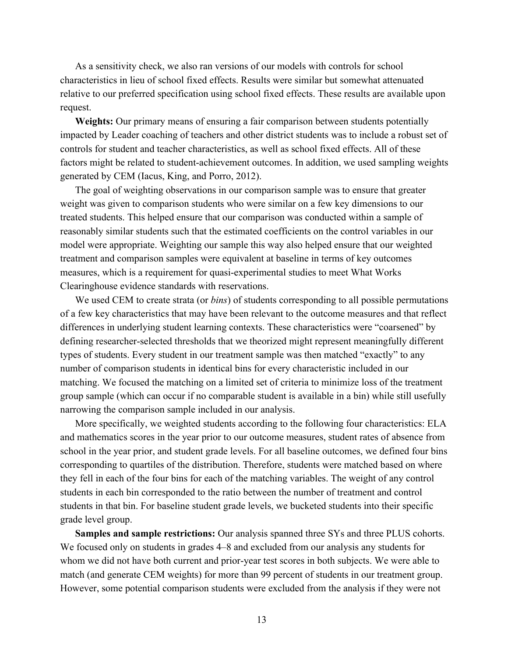As a sensitivity check, we also ran versions of our models with controls for school characteristics in lieu of school fixed effects. Results were similar but somewhat attenuated relative to our preferred specification using school fixed effects. These results are available upon request.

**Weights:** Our primary means of ensuring a fair comparison between students potentially impacted by Leader coaching of teachers and other district students was to include a robust set of controls for student and teacher characteristics, as well as school fixed effects. All of these factors might be related to student-achievement outcomes. In addition, we used sampling weights generated by CEM (Iacus, King, and Porro, 2012).

The goal of weighting observations in our comparison sample was to ensure that greater weight was given to comparison students who were similar on a few key dimensions to our treated students. This helped ensure that our comparison was conducted within a sample of reasonably similar students such that the estimated coefficients on the control variables in our model were appropriate. Weighting our sample this way also helped ensure that our weighted treatment and comparison samples were equivalent at baseline in terms of key outcomes measures, which is a requirement for quasi-experimental studies to meet What Works Clearinghouse evidence standards with reservations.

We used CEM to create strata (or *bins*) of students corresponding to all possible permutations of a few key characteristics that may have been relevant to the outcome measures and that reflect differences in underlying student learning contexts. These characteristics were "coarsened" by defining researcher-selected thresholds that we theorized might represent meaningfully different types of students. Every student in our treatment sample was then matched "exactly" to any number of comparison students in identical bins for every characteristic included in our matching. We focused the matching on a limited set of criteria to minimize loss of the treatment group sample (which can occur if no comparable student is available in a bin) while still usefully narrowing the comparison sample included in our analysis.

More specifically, we weighted students according to the following four characteristics: ELA and mathematics scores in the year prior to our outcome measures, student rates of absence from school in the year prior, and student grade levels. For all baseline outcomes, we defined four bins corresponding to quartiles of the distribution. Therefore, students were matched based on where they fell in each of the four bins for each of the matching variables. The weight of any control students in each bin corresponded to the ratio between the number of treatment and control students in that bin. For baseline student grade levels, we bucketed students into their specific grade level group.

**Samples and sample restrictions:** Our analysis spanned three SYs and three PLUS cohorts. We focused only on students in grades 4–8 and excluded from our analysis any students for whom we did not have both current and prior-year test scores in both subjects. We were able to match (and generate CEM weights) for more than 99 percent of students in our treatment group. However, some potential comparison students were excluded from the analysis if they were not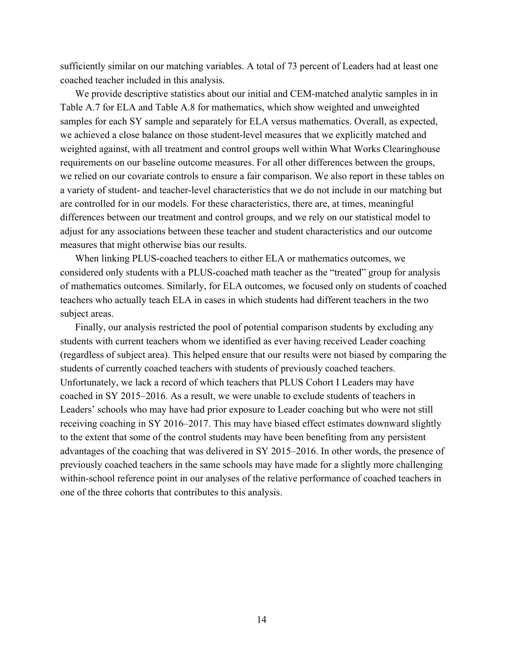sufficiently similar on our matching variables. A total of 73 percent of Leaders had at least one coached teacher included in this analysis.

We provide descriptive statistics about our initial and CEM-matched analytic samples in in Table A.7 for ELA and Table A.8 for mathematics, which show weighted and unweighted samples for each SY sample and separately for ELA versus mathematics. Overall, as expected, we achieved a close balance on those student-level measures that we explicitly matched and weighted against, with all treatment and control groups well within What Works Clearinghouse requirements on our baseline outcome measures. For all other differences between the groups, we relied on our covariate controls to ensure a fair comparison. We also report in these tables on a variety of student- and teacher-level characteristics that we do not include in our matching but are controlled for in our models. For these characteristics, there are, at times, meaningful differences between our treatment and control groups, and we rely on our statistical model to adjust for any associations between these teacher and student characteristics and our outcome measures that might otherwise bias our results.

When linking PLUS-coached teachers to either ELA or mathematics outcomes, we considered only students with a PLUS-coached math teacher as the "treated" group for analysis of mathematics outcomes. Similarly, for ELA outcomes, we focused only on students of coached teachers who actually teach ELA in cases in which students had different teachers in the two subject areas.

Finally, our analysis restricted the pool of potential comparison students by excluding any students with current teachers whom we identified as ever having received Leader coaching (regardless of subject area). This helped ensure that our results were not biased by comparing the students of currently coached teachers with students of previously coached teachers. Unfortunately, we lack a record of which teachers that PLUS Cohort I Leaders may have coached in SY 2015–2016. As a result, we were unable to exclude students of teachers in Leaders' schools who may have had prior exposure to Leader coaching but who were not still receiving coaching in SY 2016–2017. This may have biased effect estimates downward slightly to the extent that some of the control students may have been benefiting from any persistent advantages of the coaching that was delivered in SY 2015–2016. In other words, the presence of previously coached teachers in the same schools may have made for a slightly more challenging within-school reference point in our analyses of the relative performance of coached teachers in one of the three cohorts that contributes to this analysis.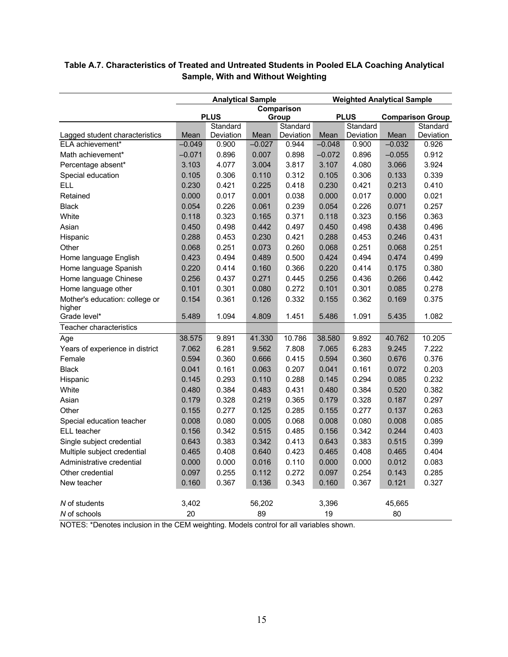|                                 | <b>Analytical Sample</b> |                         |          | <b>Weighted Analytical Sample</b> |          |                         |          |                                     |
|---------------------------------|--------------------------|-------------------------|----------|-----------------------------------|----------|-------------------------|----------|-------------------------------------|
|                                 | <b>Comparison</b>        |                         |          |                                   |          |                         |          |                                     |
|                                 |                          | <b>PLUS</b><br>Standard |          | Group<br>Standard                 |          | <b>PLUS</b><br>Standard |          | <b>Comparison Group</b><br>Standard |
| Lagged student characteristics  | Mean                     | Deviation               | Mean     | Deviation                         | Mean     | Deviation               | Mean     | Deviation                           |
| ELA achievement*                | $-0.049$                 | 0.900                   | $-0.027$ | 0.944                             | $-0.048$ | 0.900                   | $-0.032$ | 0.926                               |
| Math achievement*               | $-0.071$                 | 0.896                   | 0.007    | 0.898                             | $-0.072$ | 0.896                   | $-0.055$ | 0.912                               |
| Percentage absent*              | 3.103                    | 4.077                   | 3.004    | 3.817                             | 3.107    | 4.080                   | 3.066    | 3.924                               |
| Special education               | 0.105                    | 0.306                   | 0.110    | 0.312                             | 0.105    | 0.306                   | 0.133    | 0.339                               |
| <b>ELL</b>                      | 0.230                    | 0.421                   | 0.225    | 0.418                             | 0.230    | 0.421                   | 0.213    | 0.410                               |
| Retained                        | 0.000                    | 0.017                   | 0.001    | 0.038                             | 0.000    | 0.017                   | 0.000    | 0.021                               |
| <b>Black</b>                    | 0.054                    | 0.226                   | 0.061    | 0.239                             | 0.054    | 0.226                   | 0.071    | 0.257                               |
| White                           | 0.118                    | 0.323                   | 0.165    | 0.371                             | 0.118    | 0.323                   | 0.156    | 0.363                               |
| Asian                           | 0.450                    | 0.498                   | 0.442    | 0.497                             | 0.450    | 0.498                   | 0.438    | 0.496                               |
| Hispanic                        | 0.288                    | 0.453                   | 0.230    | 0.421                             | 0.288    | 0.453                   | 0.246    | 0.431                               |
| Other                           | 0.068                    | 0.251                   | 0.073    | 0.260                             | 0.068    | 0.251                   | 0.068    | 0.251                               |
| Home language English           | 0.423                    | 0.494                   | 0.489    | 0.500                             | 0.424    | 0.494                   | 0.474    | 0.499                               |
| Home language Spanish           | 0.220                    | 0.414                   | 0.160    | 0.366                             | 0.220    | 0.414                   | 0.175    | 0.380                               |
| Home language Chinese           | 0.256                    | 0.437                   | 0.271    | 0.445                             | 0.256    | 0.436                   | 0.266    | 0.442                               |
| Home language other             | 0.101                    | 0.301                   | 0.080    | 0.272                             | 0.101    | 0.301                   | 0.085    | 0.278                               |
| Mother's education: college or  | 0.154                    | 0.361                   | 0.126    | 0.332                             | 0.155    | 0.362                   | 0.169    | 0.375                               |
| higher                          |                          |                         |          |                                   |          |                         |          |                                     |
| Grade level*                    | 5.489                    | 1.094                   | 4.809    | 1.451                             | 5.486    | 1.091                   | 5.435    | 1.082                               |
| Teacher characteristics         |                          |                         |          |                                   |          |                         |          |                                     |
| Age                             | 38.575                   | 9.891                   | 41.330   | 10.786                            | 38.580   | 9.892                   | 40.762   | 10.205                              |
| Years of experience in district | 7.062                    | 6.281                   | 9.562    | 7.808                             | 7.065    | 6.283                   | 9.245    | 7.222                               |
| Female                          | 0.594                    | 0.360                   | 0.666    | 0.415                             | 0.594    | 0.360                   | 0.676    | 0.376                               |
| <b>Black</b>                    | 0.041                    | 0.161                   | 0.063    | 0.207                             | 0.041    | 0.161                   | 0.072    | 0.203                               |
| Hispanic                        | 0.145                    | 0.293                   | 0.110    | 0.288                             | 0.145    | 0.294                   | 0.085    | 0.232                               |
| White                           | 0.480                    | 0.384                   | 0.483    | 0.431                             | 0.480    | 0.384                   | 0.520    | 0.382                               |
| Asian                           | 0.179                    | 0.328                   | 0.219    | 0.365                             | 0.179    | 0.328                   | 0.187    | 0.297                               |
| Other                           | 0.155                    | 0.277                   | 0.125    | 0.285                             | 0.155    | 0.277                   | 0.137    | 0.263                               |
| Special education teacher       | 0.008                    | 0.080                   | 0.005    | 0.068                             | 0.008    | 0.080                   | 0.008    | 0.085                               |
| ELL teacher                     | 0.156                    | 0.342                   | 0.515    | 0.485                             | 0.156    | 0.342                   | 0.244    | 0.403                               |
| Single subject credential       | 0.643                    | 0.383                   | 0.342    | 0.413                             | 0.643    | 0.383                   | 0.515    | 0.399                               |
| Multiple subject credential     | 0.465                    | 0.408                   | 0.640    | 0.423                             | 0.465    | 0.408                   | 0.465    | 0.404                               |
| Administrative credential       | 0.000                    | 0.000                   | 0.016    | 0.110                             | 0.000    | 0.000                   | 0.012    | 0.083                               |
| Other credential                | 0.097                    | 0.255                   | 0.112    | 0.272                             | 0.097    | 0.254                   | 0.143    | 0.285                               |
| New teacher                     | 0.160                    | 0.367                   | 0.136    | 0.343                             | 0.160    | 0.367                   | 0.121    | 0.327                               |
|                                 |                          |                         |          |                                   |          |                         |          |                                     |
| N of students                   | 3,402<br>20              |                         | 56,202   |                                   | 3,396    |                         | 45,665   |                                     |
| N of schools                    |                          |                         | 89       |                                   | 19       |                         | 80       |                                     |

## **Table A.7. Characteristics of Treated and Untreated Students in Pooled ELA Coaching Analytical Sample, With and Without Weighting**

NOTES: \*Denotes inclusion in the CEM weighting. Models control for all variables shown.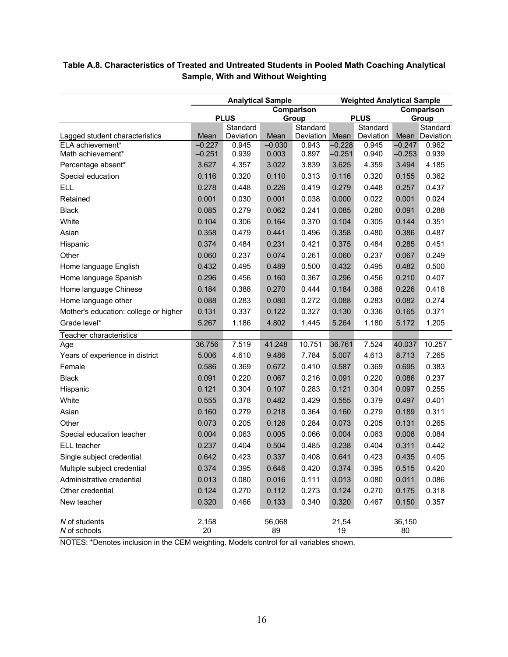|                                       | <b>Analytical Sample</b> |                         |              | <b>Weighted Analytical Sample</b> |             |                         |              |                   |
|---------------------------------------|--------------------------|-------------------------|--------------|-----------------------------------|-------------|-------------------------|--------------|-------------------|
|                                       |                          |                         |              | Comparison                        |             |                         | Comparison   |                   |
|                                       |                          | <b>PLUS</b><br>Standard |              | Group<br>Standard                 |             | <b>PLUS</b><br>Standard |              | Group<br>Standard |
| Lagged student characteristics        | Mean                     | Deviation               | Mean         | Deviation                         | Mean        | Deviation               | Mean         | Deviation         |
| ELA achievement*                      | $-0.227$                 | 0.945                   | $-0.030$     | 0.943                             | $-0.228$    | 0.945                   | $-0.247$     | 0.962             |
| Math achievement*                     | $-0.251$                 | 0.939                   | 0.003        | 0.897                             | $-0.251$    | 0.940                   | $-0.253$     | 0.939             |
| Percentage absent*                    | 3.627                    | 4.357                   | 3.022        | 3.839                             | 3.625       | 4.359                   | 3.494        | 4.185             |
| Special education                     | 0.116                    | 0.320                   | 0.110        | 0.313                             | 0.116       | 0.320                   | 0.155        | 0.362             |
| <b>ELL</b>                            | 0.278                    | 0.448                   | 0.226        | 0.419                             | 0.279       | 0.448                   | 0.257        | 0.437             |
| Retained                              | 0.001                    | 0.030                   | 0.001        | 0.038                             | 0.000       | 0.022                   | 0.001        | 0.024             |
| <b>Black</b>                          | 0.085                    | 0.279                   | 0.062        | 0.241                             | 0.085       | 0.280                   | 0.091        | 0.288             |
| White                                 | 0.104                    | 0.306                   | 0.164        | 0.370                             | 0.104       | 0.305                   | 0.144        | 0.351             |
| Asian                                 | 0.358                    | 0.479                   | 0.441        | 0.496                             | 0.358       | 0.480                   | 0.386        | 0.487             |
| Hispanic                              | 0.374                    | 0.484                   | 0.231        | 0.421                             | 0.375       | 0.484                   | 0.285        | 0.451             |
| Other                                 | 0.060                    | 0.237                   | 0.074        | 0.261                             | 0.060       | 0.237                   | 0.067        | 0.249             |
| Home language English                 | 0.432                    | 0.495                   | 0.489        | 0.500                             | 0.432       | 0.495                   | 0.482        | 0.500             |
| Home language Spanish                 | 0.296                    | 0.456                   | 0.160        | 0.367                             | 0.296       | 0.456                   | 0.210        | 0.407             |
| Home language Chinese                 | 0.184                    | 0.388                   | 0.270        | 0.444                             | 0.184       | 0.388                   | 0.226        | 0.418             |
| Home language other                   | 0.088                    | 0.283                   | 0.080        | 0.272                             | 0.088       | 0.283                   | 0.082        | 0.274             |
| Mother's education: college or higher | 0.131                    | 0.337                   | 0.122        | 0.327                             | 0.130       | 0.336                   | 0.165        | 0.371             |
| Grade level*                          | 5.267                    | 1.186                   | 4.802        | 1.445                             | 5.264       | 1.180                   | 5.172        | 1.205             |
| Teacher characteristics               |                          |                         |              |                                   |             |                         |              |                   |
| Age                                   | 36.756                   | 7.519                   | 41.248       | 10.751                            | 36.761      | 7.524                   | 40.037       | 10.257            |
| Years of experience in district       | 5.006                    | 4.610                   | 9.486        | 7.784                             | 5.007       | 4.613                   | 8.713        | 7.265             |
| Female                                | 0.586                    | 0.369                   | 0.672        | 0.410                             | 0.587       | 0.369                   | 0.695        | 0.383             |
| <b>Black</b>                          | 0.091                    | 0.220                   | 0.067        | 0.216                             | 0.091       | 0.220                   | 0.086        | 0.237             |
| Hispanic                              | 0.121                    | 0.304                   | 0.107        | 0.283                             | 0.121       | 0.304                   | 0.097        | 0.255             |
| White                                 | 0.555                    | 0.378                   | 0.482        | 0.429                             | 0.555       | 0.379                   | 0.497        | 0.401             |
| Asian                                 | 0.160                    | 0.279                   | 0.218        | 0.364                             | 0.160       | 0.279                   | 0.189        | 0.311             |
| Other                                 | 0.073                    | 0.205                   | 0.126        | 0.284                             | 0.073       | 0.205                   | 0.131        | 0.265             |
| Special education teacher             | 0.004                    | 0.063                   | 0.005        | 0.066                             | 0.004       | 0.063                   | 0.008        | 0.084             |
| ELL teacher                           | 0.237                    | 0.404                   | 0.504        | 0.485                             | 0.238       | 0.404                   | 0.311        | 0.442             |
| Single subject credential             | 0.642                    | 0.423                   | 0.337        | 0.408                             | 0.641       | 0.423                   | 0.435        | 0.405             |
| Multiple subject credential           | 0.374                    | 0.395                   | 0.646        | 0.420                             | 0.374       | 0.395                   | 0.515        | 0.420             |
| Administrative credential             | 0.013                    | 0.080                   | 0.016        | 0.111                             | 0.013       | 0.080                   | 0.011        | 0.086             |
| Other credential                      | 0.124                    | 0.270                   | 0.112        | 0.273                             | 0.124       | 0.270                   | 0.175        | 0.318             |
| New teacher                           | 0.320                    | 0.466                   | 0.133        | 0.340                             | 0.320       | 0.467                   | 0.150        | 0.357             |
| N of students<br>N of schools         | 2,158<br>20              |                         | 56,068<br>89 |                                   | 21,54<br>19 |                         | 36,150<br>80 |                   |

## **Table A.8. Characteristics of Treated and Untreated Students in Pooled Math Coaching Analytical Sample, With and Without Weighting**

NOTES: \*Denotes inclusion in the CEM weighting. Models control for all variables shown.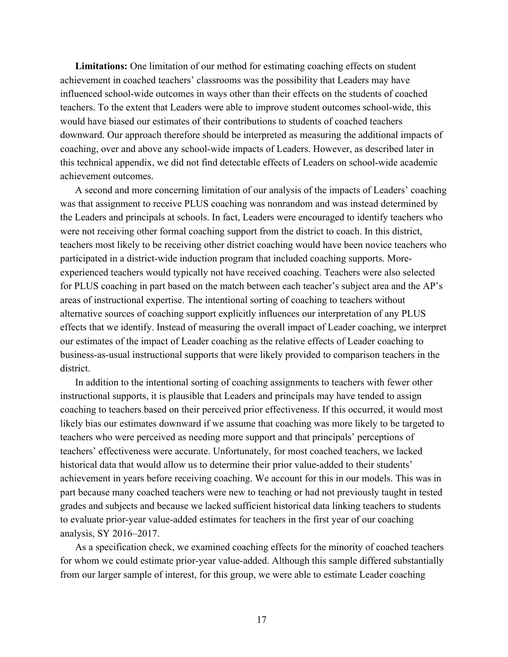**Limitations:** One limitation of our method for estimating coaching effects on student achievement in coached teachers' classrooms was the possibility that Leaders may have influenced school-wide outcomes in ways other than their effects on the students of coached teachers. To the extent that Leaders were able to improve student outcomes school-wide, this would have biased our estimates of their contributions to students of coached teachers downward. Our approach therefore should be interpreted as measuring the additional impacts of coaching, over and above any school-wide impacts of Leaders. However, as described later in this technical appendix, we did not find detectable effects of Leaders on school-wide academic achievement outcomes.

A second and more concerning limitation of our analysis of the impacts of Leaders' coaching was that assignment to receive PLUS coaching was nonrandom and was instead determined by the Leaders and principals at schools. In fact, Leaders were encouraged to identify teachers who were not receiving other formal coaching support from the district to coach. In this district, teachers most likely to be receiving other district coaching would have been novice teachers who participated in a district-wide induction program that included coaching supports. Moreexperienced teachers would typically not have received coaching. Teachers were also selected for PLUS coaching in part based on the match between each teacher's subject area and the AP's areas of instructional expertise. The intentional sorting of coaching to teachers without alternative sources of coaching support explicitly influences our interpretation of any PLUS effects that we identify. Instead of measuring the overall impact of Leader coaching, we interpret our estimates of the impact of Leader coaching as the relative effects of Leader coaching to business-as-usual instructional supports that were likely provided to comparison teachers in the district.

In addition to the intentional sorting of coaching assignments to teachers with fewer other instructional supports, it is plausible that Leaders and principals may have tended to assign coaching to teachers based on their perceived prior effectiveness. If this occurred, it would most likely bias our estimates downward if we assume that coaching was more likely to be targeted to teachers who were perceived as needing more support and that principals' perceptions of teachers' effectiveness were accurate. Unfortunately, for most coached teachers, we lacked historical data that would allow us to determine their prior value-added to their students' achievement in years before receiving coaching. We account for this in our models. This was in part because many coached teachers were new to teaching or had not previously taught in tested grades and subjects and because we lacked sufficient historical data linking teachers to students to evaluate prior-year value-added estimates for teachers in the first year of our coaching analysis, SY 2016–2017.

As a specification check, we examined coaching effects for the minority of coached teachers for whom we could estimate prior-year value-added. Although this sample differed substantially from our larger sample of interest, for this group, we were able to estimate Leader coaching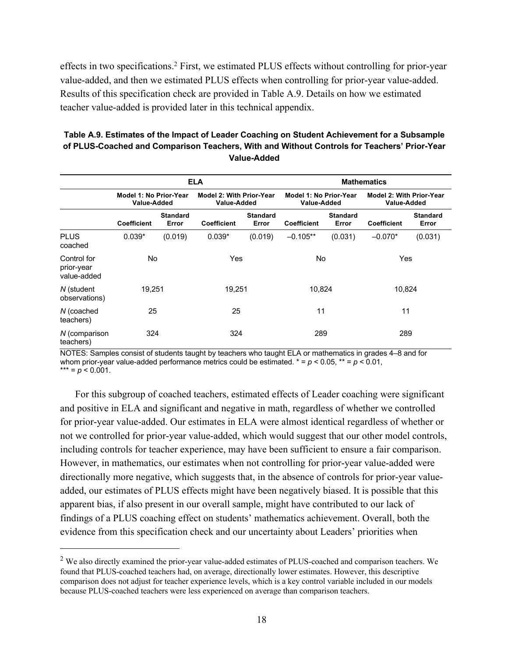effects in two specifications.<sup>2</sup> First, we estimated PLUS effects without controlling for prior-year value-added, and then we estimated PLUS effects when controlling for prior-year value-added. Results of this specification check are provided in Table A.9. Details on how we estimated teacher value-added is provided later in this technical appendix.

| Table A.9. Estimates of the Impact of Leader Coaching on Student Achievement for a Subsample |
|----------------------------------------------------------------------------------------------|
| of PLUS-Coached and Comparison Teachers. With and Without Controls for Teachers' Prior-Year  |
| Value-Added                                                                                  |

|                                          |                                       | <b>ELA</b>               |                                                |                          |                    | <b>Mathematics</b>                    |                    |                                                       |  |  |
|------------------------------------------|---------------------------------------|--------------------------|------------------------------------------------|--------------------------|--------------------|---------------------------------------|--------------------|-------------------------------------------------------|--|--|
|                                          | Model 1: No Prior-Year<br>Value-Added |                          | <b>Model 2: With Prior-Year</b><br>Value-Added |                          |                    | Model 1: No Prior-Year<br>Value-Added |                    | <b>Model 2: With Prior-Year</b><br><b>Value-Added</b> |  |  |
|                                          | <b>Coefficient</b>                    | <b>Standard</b><br>Error | <b>Coefficient</b>                             | <b>Standard</b><br>Error | <b>Coefficient</b> | <b>Standard</b><br>Error              | <b>Coefficient</b> | <b>Standard</b><br>Error                              |  |  |
| <b>PLUS</b><br>coached                   | $0.039*$                              | (0.019)                  | $0.039*$                                       | (0.019)                  | $-0.105**$         | (0.031)                               | $-0.070*$          | (0.031)                                               |  |  |
| Control for<br>prior-year<br>value-added | No.                                   |                          | Yes                                            |                          | No                 |                                       | Yes                |                                                       |  |  |
| N (student<br>observations)              | 19,251                                |                          | 19,251                                         |                          | 10,824             |                                       | 10,824             |                                                       |  |  |
| N (coached<br>teachers)                  | 25                                    |                          | 25                                             |                          | 11                 |                                       | 11                 |                                                       |  |  |
| N (comparison<br>teachers)               | 324                                   |                          | 324                                            |                          | 289                |                                       | 289                |                                                       |  |  |

NOTES: Samples consist of students taught by teachers who taught ELA or mathematics in grades 4–8 and for whom prior-year value-added performance metrics could be estimated.  $* = p < 0.05$ ,  $** = p < 0.01$ , \*\*\* =  $p$  < 0.001.

For this subgroup of coached teachers, estimated effects of Leader coaching were significant and positive in ELA and significant and negative in math, regardless of whether we controlled for prior-year value-added. Our estimates in ELA were almost identical regardless of whether or not we controlled for prior-year value-added, which would suggest that our other model controls, including controls for teacher experience, may have been sufficient to ensure a fair comparison. However, in mathematics, our estimates when not controlling for prior-year value-added were directionally more negative, which suggests that, in the absence of controls for prior-year valueadded, our estimates of PLUS effects might have been negatively biased. It is possible that this apparent bias, if also present in our overall sample, might have contributed to our lack of findings of a PLUS coaching effect on students' mathematics achievement. Overall, both the evidence from this specification check and our uncertainty about Leaders' priorities when

<sup>&</sup>lt;sup>2</sup> We also directly examined the prior-year value-added estimates of PLUS-coached and comparison teachers. We found that PLUS-coached teachers had, on average, directionally lower estimates. However, this descriptive comparison does not adjust for teacher experience levels, which is a key control variable included in our models because PLUS-coached teachers were less experienced on average than comparison teachers.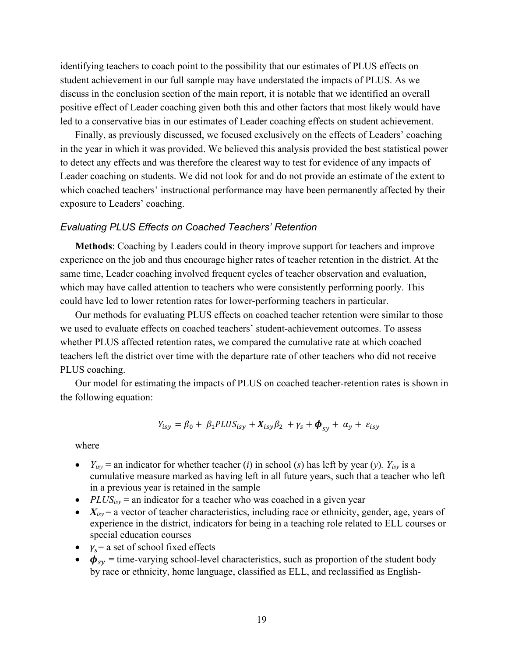identifying teachers to coach point to the possibility that our estimates of PLUS effects on student achievement in our full sample may have understated the impacts of PLUS. As we discuss in the conclusion section of the main report, it is notable that we identified an overall positive effect of Leader coaching given both this and other factors that most likely would have led to a conservative bias in our estimates of Leader coaching effects on student achievement.

Finally, as previously discussed, we focused exclusively on the effects of Leaders' coaching in the year in which it was provided. We believed this analysis provided the best statistical power to detect any effects and was therefore the clearest way to test for evidence of any impacts of Leader coaching on students. We did not look for and do not provide an estimate of the extent to which coached teachers' instructional performance may have been permanently affected by their exposure to Leaders' coaching.

#### *Evaluating PLUS Effects on Coached Teachers' Retention*

**Methods**: Coaching by Leaders could in theory improve support for teachers and improve experience on the job and thus encourage higher rates of teacher retention in the district. At the same time, Leader coaching involved frequent cycles of teacher observation and evaluation, which may have called attention to teachers who were consistently performing poorly. This could have led to lower retention rates for lower-performing teachers in particular.

Our methods for evaluating PLUS effects on coached teacher retention were similar to those we used to evaluate effects on coached teachers' student-achievement outcomes. To assess whether PLUS affected retention rates, we compared the cumulative rate at which coached teachers left the district over time with the departure rate of other teachers who did not receive PLUS coaching.

Our model for estimating the impacts of PLUS on coached teacher-retention rates is shown in the following equation:

$$
Y_{isy} = \beta_0 + \beta_1 P L U S_{isy} + X_{isy} \beta_2 + \gamma_s + \boldsymbol{\phi}_{sy} + \alpha_y + \varepsilon_{isy}
$$

where

- $Y_{isy}$  = an indicator for whether teacher (*i*) in school (*s*) has left by year (*y*).  $Y_{isy}$  is a cumulative measure marked as having left in all future years, such that a teacher who left in a previous year is retained in the sample
- *PLUS<sub>isy</sub>* = an indicator for a teacher who was coached in a given year
- $X_{isy}$  = a vector of teacher characteristics, including race or ethnicity, gender, age, years of experience in the district, indicators for being in a teaching role related to ELL courses or special education courses
- $\gamma_s$  = a set of school fixed effects
- $\phi_{sy}$  = time-varying school-level characteristics, such as proportion of the student body by race or ethnicity, home language, classified as ELL, and reclassified as English-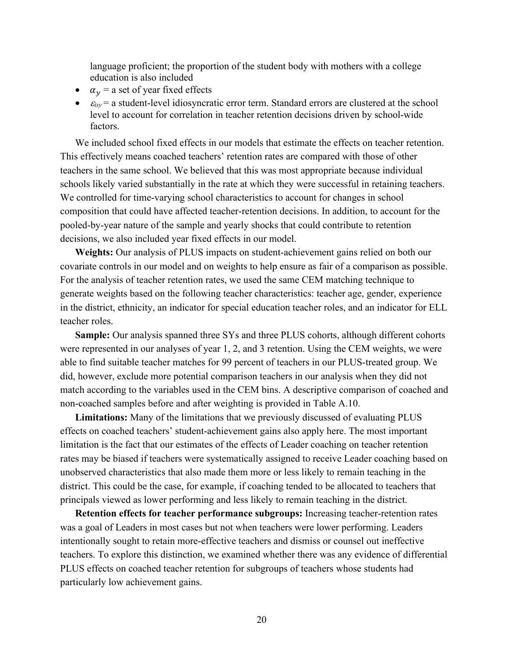language proficient; the proportion of the student body with mothers with a college education is also included

- $\alpha_v$  = a set of year fixed effects
- $\bullet$   $\varepsilon_{isy}$  = a student-level idiosyncratic error term. Standard errors are clustered at the school level to account for correlation in teacher retention decisions driven by school-wide factors.

We included school fixed effects in our models that estimate the effects on teacher retention. This effectively means coached teachers' retention rates are compared with those of other teachers in the same school. We believed that this was most appropriate because individual schools likely varied substantially in the rate at which they were successful in retaining teachers. We controlled for time-varying school characteristics to account for changes in school composition that could have affected teacher-retention decisions. In addition, to account for the pooled-by-year nature of the sample and yearly shocks that could contribute to retention decisions, we also included year fixed effects in our model.

**Weights:** Our analysis of PLUS impacts on student-achievement gains relied on both our covariate controls in our model and on weights to help ensure as fair of a comparison as possible. For the analysis of teacher retention rates, we used the same CEM matching technique to generate weights based on the following teacher characteristics: teacher age, gender, experience in the district, ethnicity, an indicator for special education teacher roles, and an indicator for ELL teacher roles.

**Sample:** Our analysis spanned three SYs and three PLUS cohorts, although different cohorts were represented in our analyses of year 1, 2, and 3 retention. Using the CEM weights, we were able to find suitable teacher matches for 99 percent of teachers in our PLUS-treated group. We did, however, exclude more potential comparison teachers in our analysis when they did not match according to the variables used in the CEM bins. A descriptive comparison of coached and non-coached samples before and after weighting is provided in Table A.10.

**Limitations:** Many of the limitations that we previously discussed of evaluating PLUS effects on coached teachers' student-achievement gains also apply here. The most important limitation is the fact that our estimates of the effects of Leader coaching on teacher retention rates may be biased if teachers were systematically assigned to receive Leader coaching based on unobserved characteristics that also made them more or less likely to remain teaching in the district. This could be the case, for example, if coaching tended to be allocated to teachers that principals viewed as lower performing and less likely to remain teaching in the district.

**Retention effects for teacher performance subgroups:** Increasing teacher-retention rates was a goal of Leaders in most cases but not when teachers were lower performing. Leaders intentionally sought to retain more-effective teachers and dismiss or counsel out ineffective teachers. To explore this distinction, we examined whether there was any evidence of differential PLUS effects on coached teacher retention for subgroups of teachers whose students had particularly low achievement gains.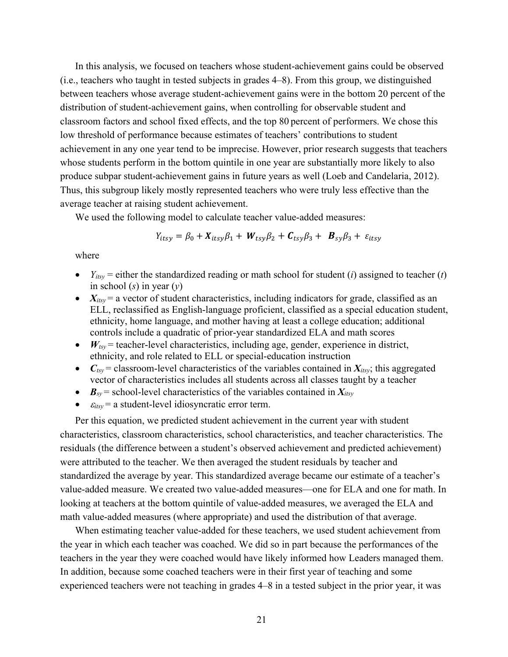In this analysis, we focused on teachers whose student-achievement gains could be observed (i.e., teachers who taught in tested subjects in grades 4–8). From this group, we distinguished between teachers whose average student-achievement gains were in the bottom 20 percent of the distribution of student-achievement gains, when controlling for observable student and classroom factors and school fixed effects, and the top 80 percent of performers. We chose this low threshold of performance because estimates of teachers' contributions to student achievement in any one year tend to be imprecise. However, prior research suggests that teachers whose students perform in the bottom quintile in one year are substantially more likely to also produce subpar student-achievement gains in future years as well (Loeb and Candelaria, 2012). Thus, this subgroup likely mostly represented teachers who were truly less effective than the average teacher at raising student achievement.

We used the following model to calculate teacher value-added measures:

$$
Y_{itsy} = \beta_0 + X_{itsy}\beta_1 + W_{tsy}\beta_2 + C_{tsy}\beta_3 + B_{sy}\beta_3 + \varepsilon_{itsy}
$$

where

- $Y_{itsy}$  = either the standardized reading or math school for student (*i*) assigned to teacher (*t*) in school (*s*) in year (*y*)
- $X_{itsy}$  = a vector of student characteristics, including indicators for grade, classified as an ELL, reclassified as English-language proficient, classified as a special education student, ethnicity, home language, and mother having at least a college education; additional controls include a quadratic of prior-year standardized ELA and math scores
- $\bullet$   $W_{\text{tsv}}$  = teacher-level characteristics, including age, gender, experience in district, ethnicity, and role related to ELL or special-education instruction
- $C_{\text{tsy}}$  = classroom-level characteristics of the variables contained in  $X_{\text{tisy}}$ ; this aggregated vector of characteristics includes all students across all classes taught by a teacher
- $\mathbf{B}_{sv}$  = school-level characteristics of the variables contained in  $X_{itsv}$
- $\bullet$   $\varepsilon_{itsy}$  = a student-level idiosyncratic error term.

Per this equation, we predicted student achievement in the current year with student characteristics, classroom characteristics, school characteristics, and teacher characteristics. The residuals (the difference between a student's observed achievement and predicted achievement) were attributed to the teacher. We then averaged the student residuals by teacher and standardized the average by year. This standardized average became our estimate of a teacher's value-added measure. We created two value-added measures—one for ELA and one for math. In looking at teachers at the bottom quintile of value-added measures, we averaged the ELA and math value-added measures (where appropriate) and used the distribution of that average.

When estimating teacher value-added for these teachers, we used student achievement from the year in which each teacher was coached. We did so in part because the performances of the teachers in the year they were coached would have likely informed how Leaders managed them. In addition, because some coached teachers were in their first year of teaching and some experienced teachers were not teaching in grades 4–8 in a tested subject in the prior year, it was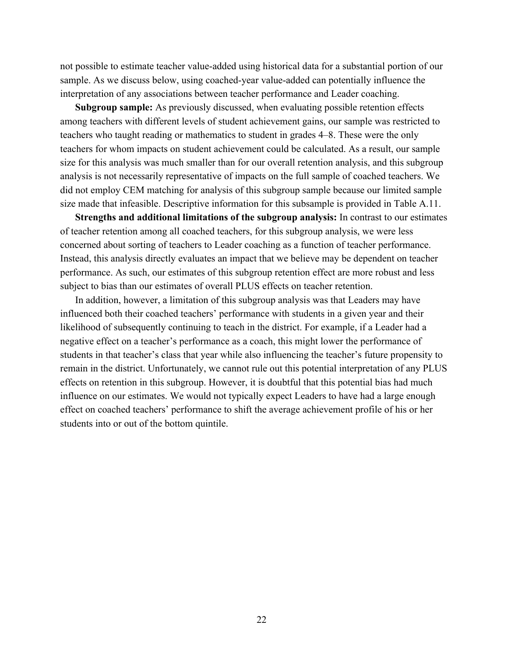not possible to estimate teacher value-added using historical data for a substantial portion of our sample. As we discuss below, using coached-year value-added can potentially influence the interpretation of any associations between teacher performance and Leader coaching.

**Subgroup sample:** As previously discussed, when evaluating possible retention effects among teachers with different levels of student achievement gains, our sample was restricted to teachers who taught reading or mathematics to student in grades 4–8. These were the only teachers for whom impacts on student achievement could be calculated. As a result, our sample size for this analysis was much smaller than for our overall retention analysis, and this subgroup analysis is not necessarily representative of impacts on the full sample of coached teachers. We did not employ CEM matching for analysis of this subgroup sample because our limited sample size made that infeasible. Descriptive information for this subsample is provided in Table A.11.

**Strengths and additional limitations of the subgroup analysis:** In contrast to our estimates of teacher retention among all coached teachers, for this subgroup analysis, we were less concerned about sorting of teachers to Leader coaching as a function of teacher performance. Instead, this analysis directly evaluates an impact that we believe may be dependent on teacher performance. As such, our estimates of this subgroup retention effect are more robust and less subject to bias than our estimates of overall PLUS effects on teacher retention.

In addition, however, a limitation of this subgroup analysis was that Leaders may have influenced both their coached teachers' performance with students in a given year and their likelihood of subsequently continuing to teach in the district. For example, if a Leader had a negative effect on a teacher's performance as a coach, this might lower the performance of students in that teacher's class that year while also influencing the teacher's future propensity to remain in the district. Unfortunately, we cannot rule out this potential interpretation of any PLUS effects on retention in this subgroup. However, it is doubtful that this potential bias had much influence on our estimates. We would not typically expect Leaders to have had a large enough effect on coached teachers' performance to shift the average achievement profile of his or her students into or out of the bottom quintile.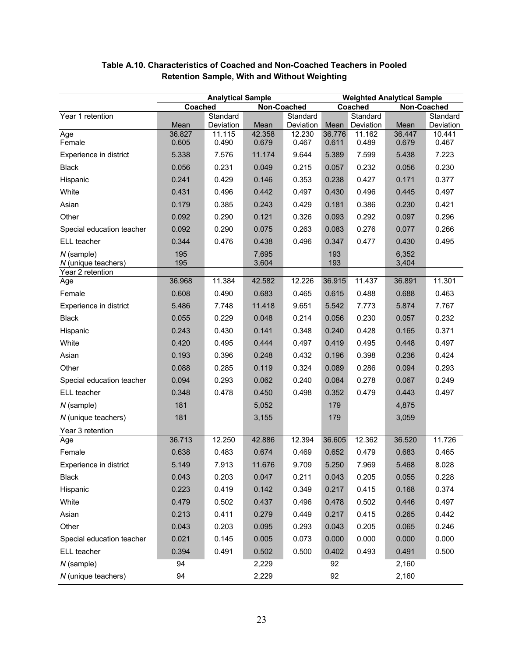|                                     | <b>Analytical Sample</b> |                     |                |                     | <b>Weighted Analytical Sample</b> |                     |                |                     |
|-------------------------------------|--------------------------|---------------------|----------------|---------------------|-----------------------------------|---------------------|----------------|---------------------|
|                                     | Coached                  |                     | Non-Coached    |                     |                                   | Coached             | Non-Coached    |                     |
| Year 1 retention                    |                          | Standard            |                | Standard            |                                   | Standard            |                | Standard            |
| Age                                 | Mean<br>36.827           | Deviation<br>11.115 | Mean<br>42.358 | Deviation<br>12.230 | Mean<br>36.776                    | Deviation<br>11.162 | Mean<br>36.447 | Deviation<br>10.441 |
| Female                              | 0.605                    | 0.490               | 0.679          | 0.467               | 0.611                             | 0.489               | 0.679          | 0.467               |
| Experience in district              | 5.338                    | 7.576               | 11.174         | 9.644               | 5.389                             | 7.599               | 5.438          | 7.223               |
| <b>Black</b>                        | 0.056                    | 0.231               | 0.049          | 0.215               | 0.057                             | 0.232               | 0.056          | 0.230               |
| Hispanic                            | 0.241                    | 0.429               | 0.146          | 0.353               | 0.238                             | 0.427               | 0.171          | 0.377               |
| White                               | 0.431                    | 0.496               | 0.442          | 0.497               | 0.430                             | 0.496               | 0.445          | 0.497               |
| Asian                               | 0.179                    | 0.385               | 0.243          | 0.429               | 0.181                             | 0.386               | 0.230          | 0.421               |
| Other                               | 0.092                    | 0.290               | 0.121          | 0.326               | 0.093                             | 0.292               | 0.097          | 0.296               |
| Special education teacher           | 0.092                    | 0.290               | 0.075          | 0.263               | 0.083                             | 0.276               | 0.077          | 0.266               |
| ELL teacher                         | 0.344                    | 0.476               | 0.438          | 0.496               | 0.347                             | 0.477               | 0.430          | 0.495               |
| $N$ (sample)<br>N (unique teachers) | 195<br>195               |                     | 7,695<br>3,604 |                     | 193<br>193                        |                     | 6,352<br>3,404 |                     |
| Year 2 retention                    |                          |                     |                |                     |                                   |                     |                |                     |
| Age                                 | 36.968                   | 11.384              | 42.582         | 12.226              | 36.915                            | 11.437              | 36.891         | 11.301              |
| Female                              | 0.608                    | 0.490               | 0.683          | 0.465               | 0.615                             | 0.488               | 0.688          | 0.463               |
| Experience in district              | 5.486                    | 7.748               | 11.418         | 9.651               | 5.542                             | 7.773               | 5.874          | 7.767               |
| <b>Black</b>                        | 0.055                    | 0.229               | 0.048          | 0.214               | 0.056                             | 0.230               | 0.057          | 0.232               |
| Hispanic                            | 0.243                    | 0.430               | 0.141          | 0.348               | 0.240                             | 0.428               | 0.165          | 0.371               |
| White                               | 0.420                    | 0.495               | 0.444          | 0.497               | 0.419                             | 0.495               | 0.448          | 0.497               |
| Asian                               | 0.193                    | 0.396               | 0.248          | 0.432               | 0.196                             | 0.398               | 0.236          | 0.424               |
| Other                               | 0.088                    | 0.285               | 0.119          | 0.324               | 0.089                             | 0.286               | 0.094          | 0.293               |
| Special education teacher           | 0.094                    | 0.293               | 0.062          | 0.240               | 0.084                             | 0.278               | 0.067          | 0.249               |
| ELL teacher                         | 0.348                    | 0.478               | 0.450          | 0.498               | 0.352                             | 0.479               | 0.443          | 0.497               |
| $N$ (sample)                        | 181                      |                     | 5,052          |                     | 179                               |                     | 4,875          |                     |
| N (unique teachers)                 | 181                      |                     | 3,155          |                     | 179                               |                     | 3,059          |                     |
| Year 3 retention                    |                          |                     |                |                     |                                   |                     |                |                     |
| Age                                 | 36.713                   | 12.250              | 42.886         | 12.394              | 36.605                            | 12.362              | 36.520         | 11.726              |
| Female                              | 0.638                    | 0.483               | 0.674          | 0.469               | 0.652                             | 0.479               | 0.683          | 0.465               |
| Experience in district              | 5.149                    | 7.913               | 11.676         | 9.709               | 5.250                             | 7.969               | 5.468          | 8.028               |
| <b>Black</b>                        | 0.043                    | 0.203               | 0.047          | 0.211               | 0.043                             | 0.205               | 0.055          | 0.228               |
| Hispanic                            | 0.223                    | 0.419               | 0.142          | 0.349               | 0.217                             | 0.415               | 0.168          | 0.374               |
| White                               | 0.479                    | 0.502               | 0.437          | 0.496               | 0.478                             | 0.502               | 0.446          | 0.497               |
| Asian                               | 0.213                    | 0.411               | 0.279          | 0.449               | 0.217                             | 0.415               | 0.265          | 0.442               |
| Other                               | 0.043                    | 0.203               | 0.095          | 0.293               | 0.043                             | 0.205               | 0.065          | 0.246               |
| Special education teacher           | 0.021                    | 0.145               | 0.005          | 0.073               | 0.000                             | 0.000               | 0.000          | 0.000               |
| ELL teacher                         | 0.394                    | 0.491               | 0.502          | 0.500               | 0.402                             | 0.493               | 0.491          | 0.500               |
| $N$ (sample)                        | 94                       |                     | 2,229          |                     | 92                                |                     | 2,160          |                     |
| N (unique teachers)                 | 94                       |                     | 2,229          |                     | 92                                |                     | 2,160          |                     |

## **Table A.10. Characteristics of Coached and Non-Coached Teachers in Pooled Retention Sample, With and Without Weighting**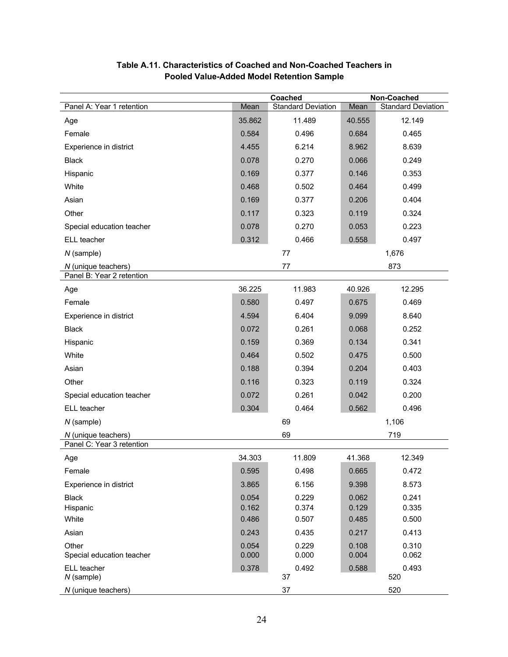|                                    |                | Coached                   | Non-Coached    |                           |  |
|------------------------------------|----------------|---------------------------|----------------|---------------------------|--|
| Panel A: Year 1 retention          | Mean           | <b>Standard Deviation</b> | Mean           | <b>Standard Deviation</b> |  |
| Age                                | 35.862         | 11.489                    | 40.555         | 12.149                    |  |
| Female                             | 0.584          | 0.496                     | 0.684          | 0.465                     |  |
| Experience in district             | 4.455          | 6.214                     | 8.962          | 8.639                     |  |
| <b>Black</b>                       | 0.078          | 0.270                     | 0.066          | 0.249                     |  |
| Hispanic                           | 0.169          | 0.377                     | 0.146          | 0.353                     |  |
| White                              | 0.468          | 0.502                     | 0.464          | 0.499                     |  |
| Asian                              | 0.169          | 0.377                     | 0.206          | 0.404                     |  |
| Other                              | 0.117          | 0.323                     | 0.119          | 0.324                     |  |
| Special education teacher          | 0.078          | 0.270                     | 0.053          | 0.223                     |  |
| ELL teacher                        | 0.312          | 0.466                     | 0.558          | 0.497                     |  |
| N (sample)                         |                | 77                        |                | 1,676                     |  |
| N (unique teachers)                |                | 77                        |                | 873                       |  |
| Panel B: Year 2 retention          |                |                           |                |                           |  |
| Age                                | 36.225         | 11.983                    | 40.926         | 12.295                    |  |
| Female                             | 0.580          | 0.497                     | 0.675          | 0.469                     |  |
| Experience in district             | 4.594          | 6.404                     | 9.099          | 8.640                     |  |
| <b>Black</b>                       | 0.072          | 0.261                     | 0.068          | 0.252                     |  |
| Hispanic                           | 0.159          | 0.369                     | 0.134          | 0.341                     |  |
| White                              | 0.464          | 0.502                     | 0.475          | 0.500                     |  |
| Asian                              | 0.188          | 0.394                     | 0.204          | 0.403                     |  |
| Other                              | 0.116          | 0.323                     | 0.119          | 0.324                     |  |
| Special education teacher          | 0.072          | 0.261                     | 0.042          | 0.200                     |  |
| ELL teacher                        | 0.304          | 0.464                     | 0.562          | 0.496                     |  |
| N (sample)                         |                | 69                        |                | 1,106                     |  |
| N (unique teachers)                |                | 69                        |                | 719                       |  |
| Panel C: Year 3 retention          |                |                           |                |                           |  |
| Age                                | 34.303         | 11.809                    | 41.368         | 12.349                    |  |
| Female                             | 0.595          | 0.498                     | 0.665          | 0.472                     |  |
| Experience in district             | 3.865          | 6.156                     | 9.398          | 8.573                     |  |
| <b>Black</b>                       | 0.054          | 0.229                     | 0.062          | 0.241                     |  |
| Hispanic                           | 0.162          | 0.374                     | 0.129          | 0.335                     |  |
| White                              | 0.486          | 0.507                     | 0.485          | 0.500                     |  |
| Asian                              | 0.243          | 0.435                     | 0.217          | 0.413                     |  |
| Other<br>Special education teacher | 0.054<br>0.000 | 0.229<br>0.000            | 0.108<br>0.004 | 0.310<br>0.062            |  |
| ELL teacher                        | 0.378          | 0.492                     | 0.588          | 0.493                     |  |
| $N$ (sample)                       |                | 37                        |                | 520                       |  |
| N (unique teachers)                |                | 37                        |                | 520                       |  |

## **Table A.11. Characteristics of Coached and Non-Coached Teachers in Pooled Value-Added Model Retention Sample**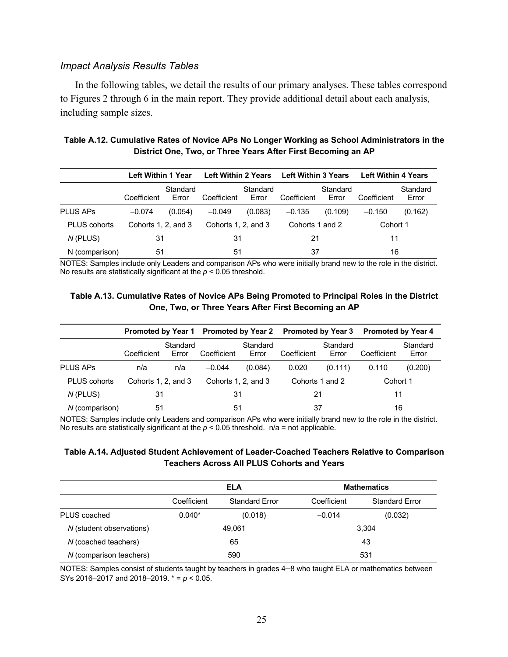### *Impact Analysis Results Tables*

In the following tables, we detail the results of our primary analyses. These tables correspond to Figures 2 through 6 in the main report. They provide additional detail about each analysis, including sample sizes.

## **Table A.12. Cumulative Rates of Novice APs No Longer Working as School Administrators in the District One, Two, or Three Years After First Becoming an AP**

|                     | Left Within 1 Year  |                   | <b>Left Within 2 Years</b> |                   | <b>Left Within 3 Years</b> |                   | <b>Left Within 4 Years</b> |                   |
|---------------------|---------------------|-------------------|----------------------------|-------------------|----------------------------|-------------------|----------------------------|-------------------|
|                     | Coefficient         | Standard<br>Error | Coefficient                | Standard<br>Error | Coefficient                | Standard<br>Error | Coefficient                | Standard<br>Error |
| <b>PLUS APS</b>     | $-0.074$            | (0.054)           | $-0.049$                   | (0.083)           | $-0.135$                   | (0.109)           | $-0.150$                   | (0.162)           |
| <b>PLUS cohorts</b> | Cohorts 1, 2, and 3 |                   | Cohorts 1, 2, and 3        |                   | Cohorts 1 and 2            |                   | Cohort 1                   |                   |
| N (PLUS)            | 31                  |                   | 31                         |                   | 21                         |                   | 11                         |                   |
| N (comparison)      | 51                  |                   | 51                         |                   | 37                         |                   | 16                         |                   |

NOTES: Samples include only Leaders and comparison APs who were initially brand new to the role in the district. No results are statistically significant at the *p* < 0.05 threshold.

## **Table A.13. Cumulative Rates of Novice APs Being Promoted to Principal Roles in the District One, Two, or Three Years After First Becoming an AP**

|                     |                     |                   |                     |                   | Promoted by Year 1 Promoted by Year 2 Promoted by Year 3 |                   | <b>Promoted by Year 4</b> |                   |
|---------------------|---------------------|-------------------|---------------------|-------------------|----------------------------------------------------------|-------------------|---------------------------|-------------------|
|                     | Coefficient         | Standard<br>Error | Coefficient         | Standard<br>Error | Coefficient                                              | Standard<br>Error | Coefficient               | Standard<br>Error |
| <b>PLUS APS</b>     | n/a                 | n/a               | $-0.044$            | (0.084)           | 0.020                                                    | (0.111)           | 0.110                     | (0.200)           |
| <b>PLUS cohorts</b> | Cohorts 1, 2, and 3 |                   | Cohorts 1, 2, and 3 |                   | Cohorts 1 and 2                                          |                   | Cohort 1                  |                   |
| N (PLUS)            | 31                  |                   | 31                  |                   | 21                                                       |                   | 11                        |                   |
| N (comparison)      | 51                  |                   | 51                  |                   | 37                                                       |                   | 16                        |                   |

NOTES: Samples include only Leaders and comparison APs who were initially brand new to the role in the district. No results are statistically significant at the  $p < 0.05$  threshold.  $n/a = not$  applicable.

## **Table A.14. Adjusted Student Achievement of Leader-Coached Teachers Relative to Comparison Teachers Across All PLUS Cohorts and Years**

|                          |             | ELA                   | <b>Mathematics</b> |                       |  |
|--------------------------|-------------|-----------------------|--------------------|-----------------------|--|
|                          | Coefficient | <b>Standard Error</b> | Coefficient        | <b>Standard Error</b> |  |
| PLUS coached             | $0.040*$    | (0.018)               | $-0.014$           | (0.032)               |  |
| N (student observations) |             | 49,061                |                    | 3,304                 |  |
| N (coached teachers)     |             | 65                    |                    | 43                    |  |
| N (comparison teachers)  | 590         |                       | 531                |                       |  |

NOTES: Samples consist of students taught by teachers in grades 4–8 who taught ELA or mathematics between SYs 2016–2017 and 2018–2019. \* = *p* < 0.05.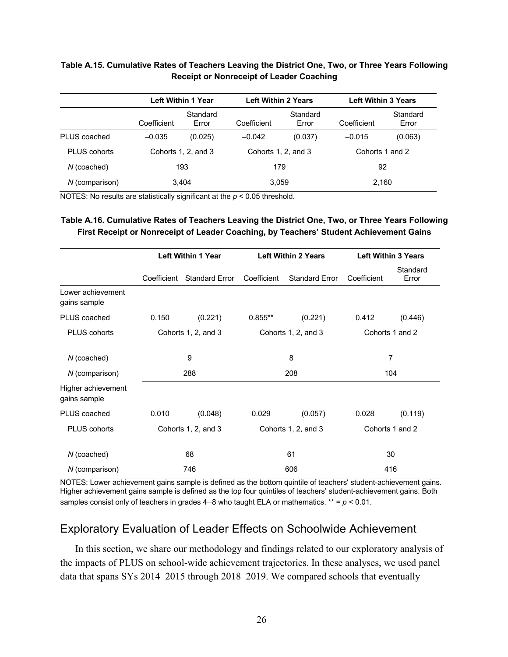### **Table A.15. Cumulative Rates of Teachers Leaving the District One, Two, or Three Years Following Receipt or Nonreceipt of Leader Coaching**

|                     |             | <b>Left Within 1 Year</b> |                     | <b>Left Within 2 Years</b> |                 | <b>Left Within 3 Years</b> |  |
|---------------------|-------------|---------------------------|---------------------|----------------------------|-----------------|----------------------------|--|
|                     | Coefficient | Standard<br>Error         | Coefficient         | Standard<br>Error          | Coefficient     | Standard<br>Error          |  |
| PLUS coached        | $-0.035$    | (0.025)                   | $-0.042$            | (0.037)                    | $-0.015$        | (0.063)                    |  |
| <b>PLUS cohorts</b> |             | Cohorts 1, 2, and 3       | Cohorts 1, 2, and 3 |                            | Cohorts 1 and 2 |                            |  |
| $N$ (coached)       |             | 193                       | 179                 |                            | 92              |                            |  |
| N (comparison)      |             | 3,404                     | 3,059               |                            | 2,160           |                            |  |

NOTES: No results are statistically significant at the *p* < 0.05 threshold.

## **Table A.16. Cumulative Rates of Teachers Leaving the District One, Two, or Three Years Following First Receipt or Nonreceipt of Leader Coaching, by Teachers' Student Achievement Gains**

|                                    |             | <b>Left Within 1 Year</b> |             | <b>Left Within 2 Years</b> |                 | <b>Left Within 3 Years</b> |
|------------------------------------|-------------|---------------------------|-------------|----------------------------|-----------------|----------------------------|
|                                    | Coefficient | <b>Standard Error</b>     | Coefficient | <b>Standard Error</b>      | Coefficient     | Standard<br>Error          |
| Lower achievement<br>gains sample  |             |                           |             |                            |                 |                            |
| PLUS coached                       | 0.150       | (0.221)                   | $0.855***$  | (0.221)                    | 0.412           | (0.446)                    |
| PLUS cohorts                       |             | Cohorts 1, 2, and 3       |             | Cohorts 1, 2, and 3        | Cohorts 1 and 2 |                            |
| $N$ (coached)                      |             | 9                         |             | 8                          |                 | 7                          |
| N (comparison)                     |             | 288                       | 208         |                            | 104             |                            |
| Higher achievement<br>gains sample |             |                           |             |                            |                 |                            |
| PLUS coached                       | 0.010       | (0.048)                   | 0.029       | (0.057)                    | 0.028           | (0.119)                    |
| <b>PLUS cohorts</b>                |             | Cohorts 1, 2, and 3       |             | Cohorts 1, 2, and 3        |                 | Cohorts 1 and 2            |
| $N$ (coached)                      |             | 68                        |             | 61                         |                 | 30                         |
| N (comparison)                     |             | 746                       | 606         |                            | 416             |                            |

NOTES: Lower achievement gains sample is defined as the bottom quintile of teachers' student-achievement gains. Higher achievement gains sample is defined as the top four quintiles of teachers' student-achievement gains. Both samples consist only of teachers in grades  $4-8$  who taught ELA or mathematics.  $** = p < 0.01$ .

## Exploratory Evaluation of Leader Effects on Schoolwide Achievement

In this section, we share our methodology and findings related to our exploratory analysis of the impacts of PLUS on school-wide achievement trajectories. In these analyses, we used panel data that spans SYs 2014–2015 through 2018–2019. We compared schools that eventually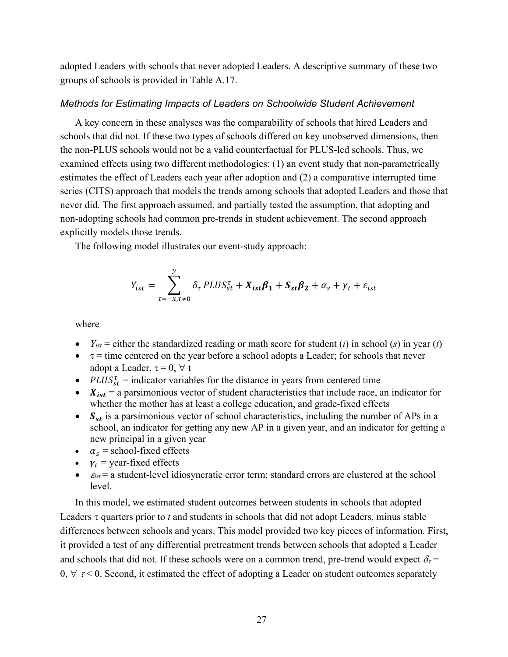adopted Leaders with schools that never adopted Leaders. A descriptive summary of these two groups of schools is provided in Table A.17.

#### *Methods for Estimating Impacts of Leaders on Schoolwide Student Achievement*

A key concern in these analyses was the comparability of schools that hired Leaders and schools that did not. If these two types of schools differed on key unobserved dimensions, then the non-PLUS schools would not be a valid counterfactual for PLUS-led schools. Thus, we examined effects using two different methodologies: (1) an event study that non-parametrically estimates the effect of Leaders each year after adoption and (2) a comparative interrupted time series (CITS) approach that models the trends among schools that adopted Leaders and those that never did. The first approach assumed, and partially tested the assumption, that adopting and non-adopting schools had common pre-trends in student achievement. The second approach explicitly models those trends.

The following model illustrates our event-study approach:

$$
Y_{ist} = \sum_{\tau = -x, \tau \neq 0}^{y} \delta_{\tau} \, PLUS_{st}^{\tau} + X_{ist} \beta_{1} + S_{st} \beta_{2} + \alpha_{s} + \gamma_{t} + \varepsilon_{ist}
$$

where

- $Y_{ist}$  = either the standardized reading or math score for student (*i*) in school (*s*) in year (*t*)
- $\bullet$   $\tau$  = time centered on the year before a school adopts a Leader; for schools that never adopt a Leader,  $\tau = 0, \forall t$
- PLUS<sub>st</sub> = indicator variables for the distance in years from centered time
- $X_{ist}$  = a parsimonious vector of student characteristics that include race, an indicator for whether the mother has at least a college education, and grade-fixed effects
- $S_{st}$  is a parsimonious vector of school characteristics, including the number of APs in a school, an indicator for getting any new AP in a given year, and an indicator for getting a new principal in a given year
- $\alpha_s$  = school-fixed effects
- $\gamma_t$  = year-fixed effects
- $\bullet$   $\varepsilon_{\text{ist}}$  = a student-level idiosyncratic error term; standard errors are clustered at the school level.

In this model, we estimated student outcomes between students in schools that adopted Leaders  $\tau$  quarters prior to  $t$  and students in schools that did not adopt Leaders, minus stable differences between schools and years. This model provided two key pieces of information. First, it provided a test of any differential pretreatment trends between schools that adopted a Leader and schools that did not. If these schools were on a common trend, pre-trend would expect  $\delta_{\tau}$  =  $0, \forall \tau$  < 0. Second, it estimated the effect of adopting a Leader on student outcomes separately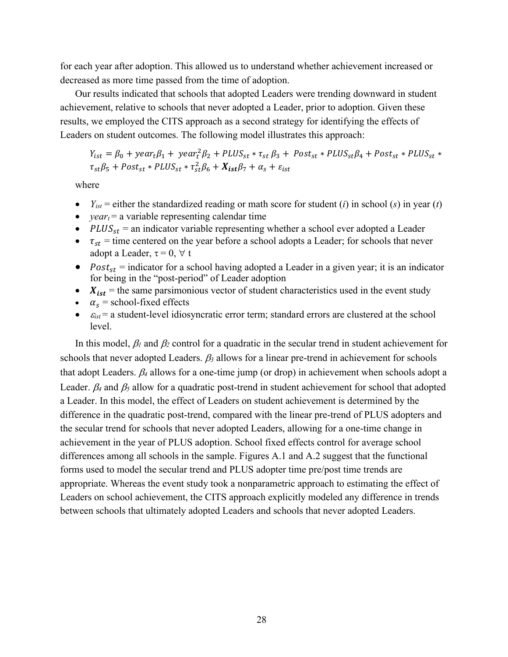for each year after adoption. This allowed us to understand whether achievement increased or decreased as more time passed from the time of adoption.

Our results indicated that schools that adopted Leaders were trending downward in student achievement, relative to schools that never adopted a Leader, prior to adoption. Given these results, we employed the CITS approach as a second strategy for identifying the effects of Leaders on student outcomes. The following model illustrates this approach:

 $Y_{ist} = \beta_0 + \text{year}_t \beta_1 + \text{year}_t^2 \beta_2 + \text{PLUS}_{st} * \tau_{st} \beta_3 + \text{Post}_{st} * \text{PLUS}_{st} \beta_4 + \text{Post}_{st} * \text{PLUS}_{st} *$  $\tau_{st}\beta_5 + Post_{st} * P L U S_{st} * \tau_{st}^2\beta_6 + X_{ist}\beta_7 + \alpha_s + \varepsilon_{ist}$ 

where

- $Y_{ist}$  = either the standardized reading or math score for student (*i*) in school (*s*) in year (*t*)
- $year<sub>t</sub> = a variable representing calendar time$
- $PLUS_{st}$  = an indicator variable representing whether a school ever adopted a Leader
- $\tau_{st}$  = time centered on the year before a school adopts a Leader; for schools that never adopt a Leader,  $\tau = 0, \forall t$
- $Post_{st}$  = indicator for a school having adopted a Leader in a given year; it is an indicator for being in the "post-period" of Leader adoption
- $X_{ist}$  = the same parsimonious vector of student characteristics used in the event study
- $\alpha_s$  = school-fixed effects
- $\bullet$   $\varepsilon_{\text{ist}}$  = a student-level idiosyncratic error term; standard errors are clustered at the school level.

In this model,  $\beta_1$  and  $\beta_2$  control for a quadratic in the secular trend in student achievement for schools that never adopted Leaders.  $\beta_3$  allows for a linear pre-trend in achievement for schools that adopt Leaders.  $\beta_4$  allows for a one-time jump (or drop) in achievement when schools adopt a Leader.  $\beta_4$  and  $\beta_5$  allow for a quadratic post-trend in student achievement for school that adopted a Leader. In this model, the effect of Leaders on student achievement is determined by the difference in the quadratic post-trend, compared with the linear pre-trend of PLUS adopters and the secular trend for schools that never adopted Leaders, allowing for a one-time change in achievement in the year of PLUS adoption. School fixed effects control for average school differences among all schools in the sample. Figures A.1 and A.2 suggest that the functional forms used to model the secular trend and PLUS adopter time pre/post time trends are appropriate. Whereas the event study took a nonparametric approach to estimating the effect of Leaders on school achievement, the CITS approach explicitly modeled any difference in trends between schools that ultimately adopted Leaders and schools that never adopted Leaders.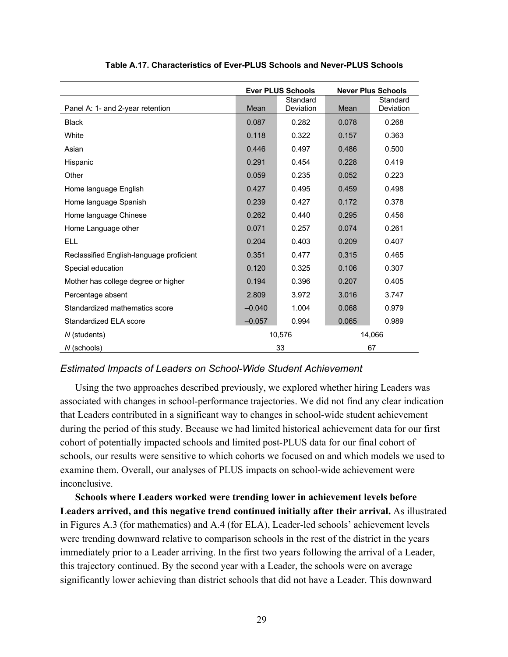|                                          |          | <b>Ever PLUS Schools</b>     | <b>Never Plus Schools</b> |                       |
|------------------------------------------|----------|------------------------------|---------------------------|-----------------------|
| Panel A: 1- and 2-year retention         | Mean     | Standard<br><b>Deviation</b> | Mean                      | Standard<br>Deviation |
| <b>Black</b>                             | 0.087    | 0.282                        | 0.078                     | 0.268                 |
| White                                    | 0.118    | 0.322                        | 0.157                     | 0.363                 |
| Asian                                    | 0.446    | 0.497                        | 0.486                     | 0.500                 |
| Hispanic                                 | 0.291    | 0.454                        | 0.228                     | 0.419                 |
| Other                                    | 0.059    | 0.235                        | 0.052                     | 0.223                 |
| Home language English                    | 0.427    | 0.495                        | 0.459                     | 0.498                 |
| Home language Spanish                    | 0.239    | 0.427                        | 0.172                     | 0.378                 |
| Home language Chinese                    | 0.262    | 0.440                        | 0.295                     | 0.456                 |
| Home Language other                      | 0.071    | 0.257                        | 0.074                     | 0.261                 |
| <b>ELL</b>                               | 0.204    | 0.403                        | 0.209                     | 0.407                 |
| Reclassified English-language proficient | 0.351    | 0.477                        | 0.315                     | 0.465                 |
| Special education                        | 0.120    | 0.325                        | 0.106                     | 0.307                 |
| Mother has college degree or higher      | 0.194    | 0.396                        | 0.207                     | 0.405                 |
| Percentage absent                        | 2.809    | 3.972                        | 3.016                     | 3.747                 |
| Standardized mathematics score           | $-0.040$ | 1.004                        | 0.068                     | 0.979                 |
| Standardized ELA score                   | $-0.057$ | 0.994                        | 0.065                     | 0.989                 |
| N (students)                             |          | 10,576                       |                           | 14,066                |
| N (schools)                              |          | 33                           |                           | 67                    |

#### **Table A.17. Characteristics of Ever-PLUS Schools and Never-PLUS Schools**

## *Estimated Impacts of Leaders on School-Wide Student Achievement*

Using the two approaches described previously, we explored whether hiring Leaders was associated with changes in school-performance trajectories. We did not find any clear indication that Leaders contributed in a significant way to changes in school-wide student achievement during the period of this study. Because we had limited historical achievement data for our first cohort of potentially impacted schools and limited post-PLUS data for our final cohort of schools, our results were sensitive to which cohorts we focused on and which models we used to examine them. Overall, our analyses of PLUS impacts on school-wide achievement were inconclusive.

**Schools where Leaders worked were trending lower in achievement levels before Leaders arrived, and this negative trend continued initially after their arrival.** As illustrated in Figures A.3 (for mathematics) and A.4 (for ELA), Leader-led schools' achievement levels were trending downward relative to comparison schools in the rest of the district in the years immediately prior to a Leader arriving. In the first two years following the arrival of a Leader, this trajectory continued. By the second year with a Leader, the schools were on average significantly lower achieving than district schools that did not have a Leader. This downward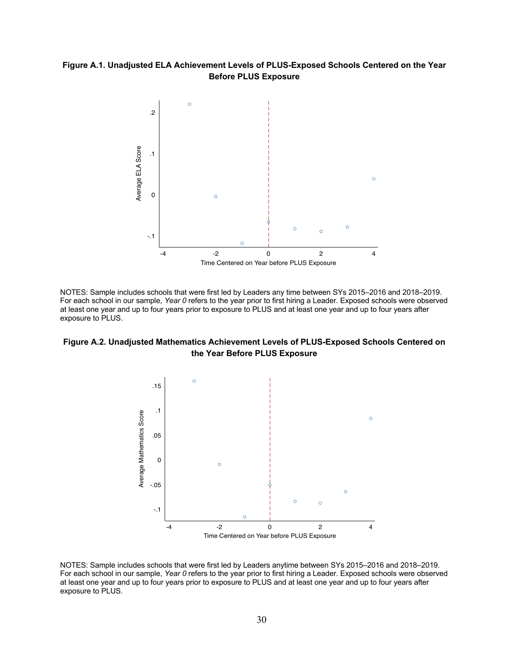## **Figure A.1. Unadjusted ELA Achievement Levels of PLUS-Exposed Schools Centered on the Year Before PLUS Exposure**



NOTES: Sample includes schools that were first led by Leaders any time between SYs 2015–2016 and 2018–2019. For each school in our sample, *Year 0* refers to the year prior to first hiring a Leader. Exposed schools were observed at least one year and up to four years prior to exposure to PLUS and at least one year and up to four years after exposure to PLUS.

## **Figure A.2. Unadjusted Mathematics Achievement Levels of PLUS-Exposed Schools Centered on the Year Before PLUS Exposure**



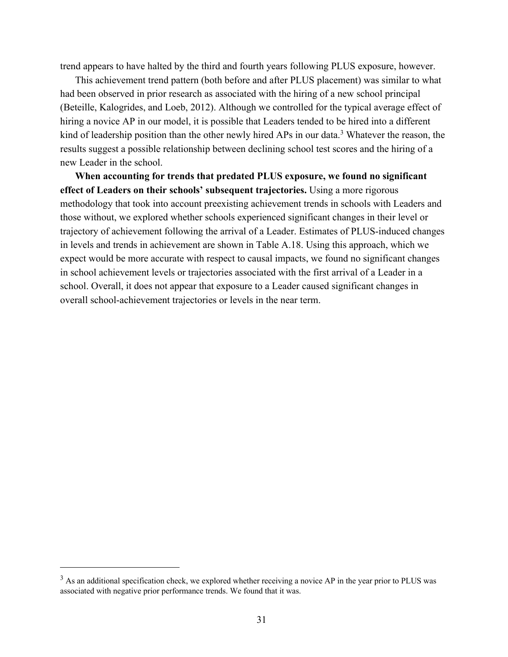trend appears to have halted by the third and fourth years following PLUS exposure, however.

This achievement trend pattern (both before and after PLUS placement) was similar to what had been observed in prior research as associated with the hiring of a new school principal (Beteille, Kalogrides, and Loeb, 2012). Although we controlled for the typical average effect of hiring a novice AP in our model, it is possible that Leaders tended to be hired into a different kind of leadership position than the other newly hired APs in our data.<sup>3</sup> Whatever the reason, the results suggest a possible relationship between declining school test scores and the hiring of a new Leader in the school.

**When accounting for trends that predated PLUS exposure, we found no significant effect of Leaders on their schools' subsequent trajectories.** Using a more rigorous methodology that took into account preexisting achievement trends in schools with Leaders and those without, we explored whether schools experienced significant changes in their level or trajectory of achievement following the arrival of a Leader. Estimates of PLUS-induced changes in levels and trends in achievement are shown in Table A.18. Using this approach, which we expect would be more accurate with respect to causal impacts, we found no significant changes in school achievement levels or trajectories associated with the first arrival of a Leader in a school. Overall, it does not appear that exposure to a Leader caused significant changes in overall school-achievement trajectories or levels in the near term.

<sup>&</sup>lt;sup>3</sup> As an additional specification check, we explored whether receiving a novice AP in the year prior to PLUS was associated with negative prior performance trends. We found that it was.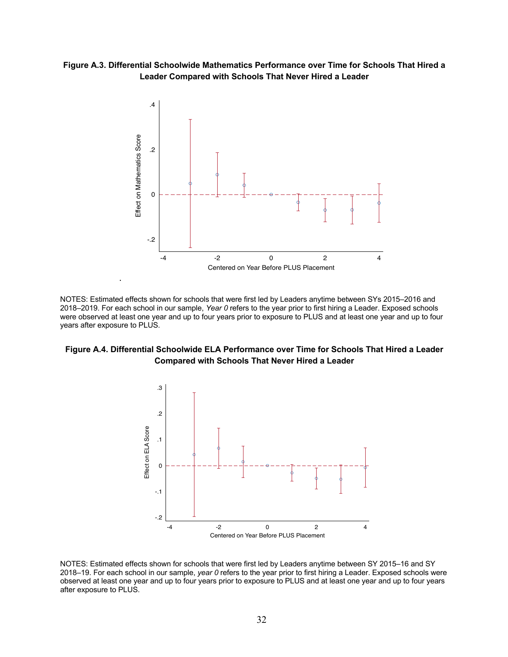**Figure A.3. Differential Schoolwide Mathematics Performance over Time for Schools That Hired a Leader Compared with Schools That Never Hired a Leader**



NOTES: Estimated effects shown for schools that were first led by Leaders anytime between SYs 2015–2016 and 2018–2019. For each school in our sample, *Year 0* refers to the year prior to first hiring a Leader. Exposed schools were observed at least one year and up to four years prior to exposure to PLUS and at least one year and up to four years after exposure to PLUS.

## **Figure A.4. Differential Schoolwide ELA Performance over Time for Schools That Hired a Leader Compared with Schools That Never Hired a Leader**



NOTES: Estimated effects shown for schools that were first led by Leaders anytime between SY 2015–16 and SY 2018–19. For each school in our sample, *year 0* refers to the year prior to first hiring a Leader. Exposed schools were observed at least one year and up to four years prior to exposure to PLUS and at least one year and up to four years after exposure to PLUS.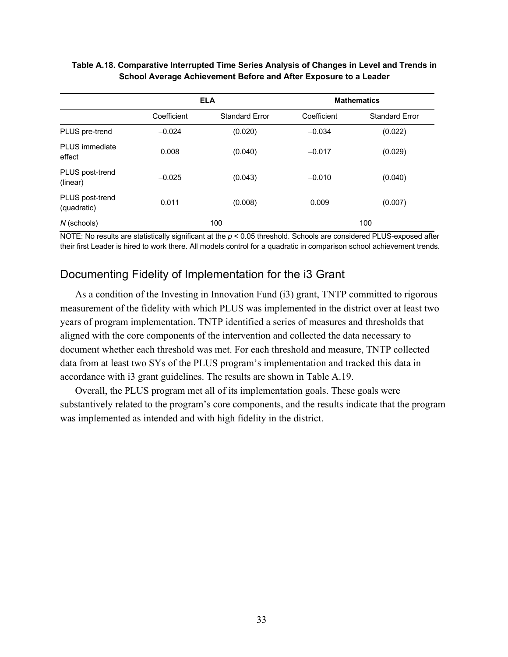|                                |             | <b>ELA</b>            | <b>Mathematics</b> |                       |  |
|--------------------------------|-------------|-----------------------|--------------------|-----------------------|--|
|                                | Coefficient | <b>Standard Error</b> | Coefficient        | <b>Standard Error</b> |  |
| PLUS pre-trend                 | $-0.024$    | (0.020)               | $-0.034$           | (0.022)               |  |
| PLUS immediate<br>effect       | 0.008       | (0.040)               | $-0.017$           | (0.029)               |  |
| PLUS post-trend<br>(linear)    | $-0.025$    | (0.043)               | $-0.010$           | (0.040)               |  |
| PLUS post-trend<br>(quadratic) | 0.011       | (0.008)               | 0.009              | (0.007)               |  |
| N (schools)                    |             | 100                   |                    | 100                   |  |

## **Table A.18. Comparative Interrupted Time Series Analysis of Changes in Level and Trends in School Average Achievement Before and After Exposure to a Leader**

NOTE: No results are statistically significant at the *p* < 0.05 threshold. Schools are considered PLUS-exposed after their first Leader is hired to work there. All models control for a quadratic in comparison school achievement trends.

## Documenting Fidelity of Implementation for the i3 Grant

As a condition of the Investing in Innovation Fund (i3) grant, TNTP committed to rigorous measurement of the fidelity with which PLUS was implemented in the district over at least two years of program implementation. TNTP identified a series of measures and thresholds that aligned with the core components of the intervention and collected the data necessary to document whether each threshold was met. For each threshold and measure, TNTP collected data from at least two SYs of the PLUS program's implementation and tracked this data in accordance with i3 grant guidelines. The results are shown in Table A.19.

Overall, the PLUS program met all of its implementation goals. These goals were substantively related to the program's core components, and the results indicate that the program was implemented as intended and with high fidelity in the district.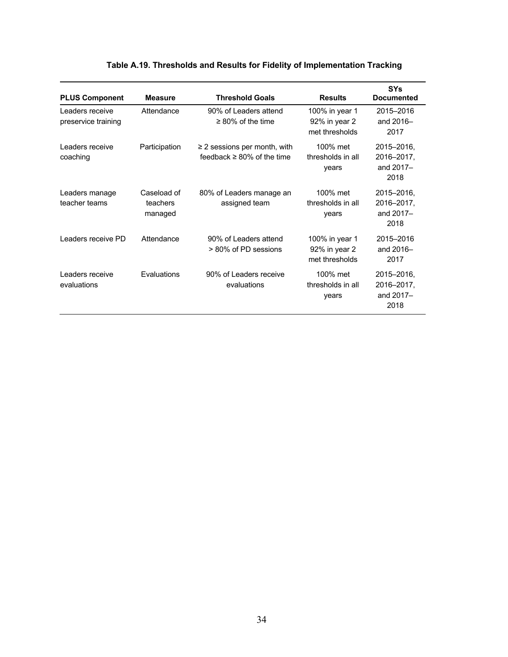| <b>PLUS Component</b>                  | <b>Measure</b>                     | <b>Threshold Goals</b>                                                | <b>Results</b>                                    | <b>SYs</b><br><b>Documented</b>               |
|----------------------------------------|------------------------------------|-----------------------------------------------------------------------|---------------------------------------------------|-----------------------------------------------|
| Leaders receive<br>preservice training | Attendance                         | 90% of Leaders attend<br>$\geq$ 80% of the time                       | 100% in year 1<br>92% in year 2<br>met thresholds | 2015-2016<br>and 2016-<br>2017                |
| Leaders receive<br>coaching            | Participation                      | $\geq$ 2 sessions per month, with<br>feedback $\geq 80\%$ of the time | 100% met<br>thresholds in all<br>years            | 2015-2016,<br>2016-2017,<br>and 2017-<br>2018 |
| Leaders manage<br>teacher teams        | Caseload of<br>teachers<br>managed | 80% of Leaders manage an<br>assigned team                             | 100% met<br>thresholds in all<br>years            | 2015-2016,<br>2016-2017,<br>and 2017-<br>2018 |
| Leaders receive PD                     | Attendance                         | 90% of Leaders attend<br>> 80% of PD sessions                         | 100% in year 1<br>92% in year 2<br>met thresholds | 2015-2016<br>and 2016-<br>2017                |
| Leaders receive<br>evaluations         | Evaluations                        | 90% of Leaders receive<br>evaluations                                 | 100% met<br>thresholds in all<br>years            | 2015-2016,<br>2016-2017,<br>and 2017-<br>2018 |

## **Table A.19. Thresholds and Results for Fidelity of Implementation Tracking**